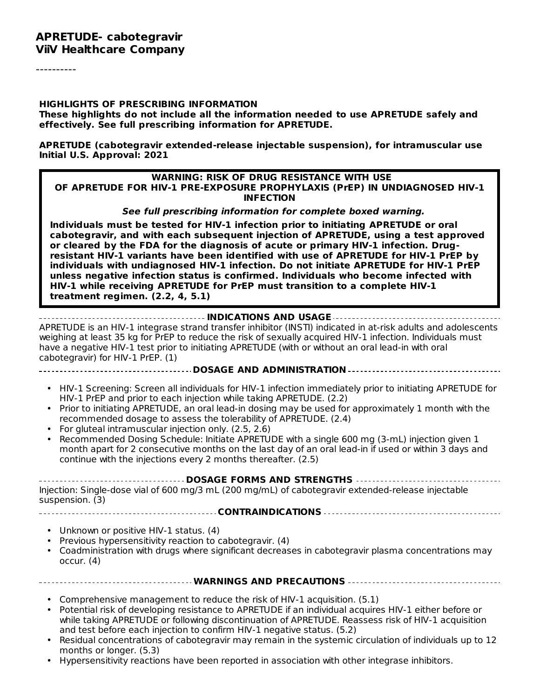----------

#### **HIGHLIGHTS OF PRESCRIBING INFORMATION**

**These highlights do not include all the information needed to use APRETUDE safely and effectively. See full prescribing information for APRETUDE.**

**APRETUDE (cabotegravir extended-release injectable suspension), for intramuscular use Initial U.S. Approval: 2021**

#### **WARNING: RISK OF DRUG RESISTANCE WITH USE OF APRETUDE FOR HIV-1 PRE-EXPOSURE PROPHYLAXIS (PrEP) IN UNDIAGNOSED HIV-1 INFECTION**

**See full prescribing information for complete boxed warning.**

**Individuals must be tested for HIV-1 infection prior to initiating APRETUDE or oral cabotegravir, and with each subsequent injection of APRETUDE, using a test approved or cleared by the FDA for the diagnosis of acute or primary HIV-1 infection. Drugresistant HIV-1 variants have been identified with use of APRETUDE for HIV-1 PrEP by individuals with undiagnosed HIV-1 infection. Do not initiate APRETUDE for HIV-1 PrEP unless negative infection status is confirmed. Individuals who become infected with HIV-1 while receiving APRETUDE for PrEP must transition to a complete HIV-1 treatment regimen. (2.2, 4, 5.1)**

#### **INDICATIONS AND USAGE**

APRETUDE is an HIV-1 integrase strand transfer inhibitor (INSTI) indicated in at-risk adults and adolescents weighing at least 35 kg for PrEP to reduce the risk of sexually acquired HIV-1 infection. Individuals must have a negative HIV-1 test prior to initiating APRETUDE (with or without an oral lead-in with oral cabotegravir) for HIV-1 PrEP. (1)

**DOSAGE AND ADMINISTRATION**

- HIV-1 Screening: Screen all individuals for HIV-1 infection immediately prior to initiating APRETUDE for HIV-1 PrEP and prior to each injection while taking APRETUDE. (2.2)
- Prior to initiating APRETUDE, an oral lead-in dosing may be used for approximately 1 month with the recommended dosage to assess the tolerability of APRETUDE. (2.4)
- For gluteal intramuscular injection only. (2.5, 2.6)
- Recommended Dosing Schedule: Initiate APRETUDE with a single 600 mg (3-mL) injection given 1 month apart for 2 consecutive months on the last day of an oral lead-in if used or within 3 days and continue with the injections every 2 months thereafter. (2.5)

**DOSAGE FORMS AND STRENGTHS**

Injection: Single-dose vial of 600 mg/3 mL (200 mg/mL) of cabotegravir extended-release injectable suspension. (3)

**CONTRAINDICATIONS**

- Unknown or positive HIV-1 status. (4)
- Previous hypersensitivity reaction to cabotegravir. (4)
- Coadministration with drugs where significant decreases in cabotegravir plasma concentrations may occur. (4)

#### **WARNINGS AND PRECAUTIONS**

- Comprehensive management to reduce the risk of HIV-1 acquisition. (5.1)
- Potential risk of developing resistance to APRETUDE if an individual acquires HIV-1 either before or while taking APRETUDE or following discontinuation of APRETUDE. Reassess risk of HIV-1 acquisition and test before each injection to confirm HIV-1 negative status. (5.2)
- Residual concentrations of cabotegravir may remain in the systemic circulation of individuals up to 12 months or longer. (5.3)
- Hypersensitivity reactions have been reported in association with other integrase inhibitors.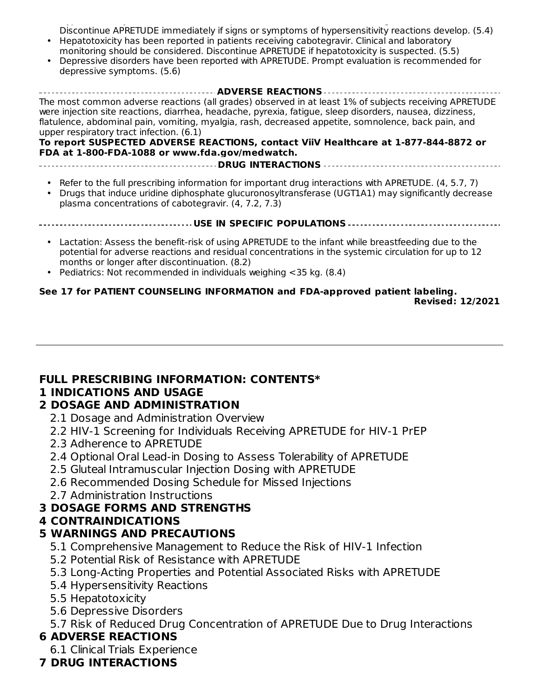Hypersensitivity reactions have been reported in association with other integrase inhibitors. Discontinue APRETUDE immediately if signs or symptoms of hypersensitivity reactions develop. (5.4)

- Hepatotoxicity has been reported in patients receiving cabotegravir. Clinical and laboratory monitoring should be considered. Discontinue APRETUDE if hepatotoxicity is suspected. (5.5)
- Depressive disorders have been reported with APRETUDE. Prompt evaluation is recommended for depressive symptoms. (5.6)

**ADVERSE REACTIONS** The most common adverse reactions (all grades) observed in at least 1% of subjects receiving APRETUDE were injection site reactions, diarrhea, headache, pyrexia, fatigue, sleep disorders, nausea, dizziness, flatulence, abdominal pain, vomiting, myalgia, rash, decreased appetite, somnolence, back pain, and upper respiratory tract infection. (6.1)

#### **To report SUSPECTED ADVERSE REACTIONS, contact ViiV Healthcare at 1-877-844-8872 or FDA at 1-800-FDA-1088 or www.fda.gov/medwatch.**

**DRUG INTERACTIONS**

- Refer to the full prescribing information for important drug interactions with APRETUDE. (4, 5.7, 7)
- Drugs that induce uridine diphosphate glucuronosyltransferase (UGT1A1) may significantly decrease plasma concentrations of cabotegravir. (4, 7.2, 7.3)

#### **USE IN SPECIFIC POPULATIONS**

- Lactation: Assess the benefit-risk of using APRETUDE to the infant while breastfeeding due to the potential for adverse reactions and residual concentrations in the systemic circulation for up to 12 months or longer after discontinuation. (8.2)
- Pediatrics: Not recommended in individuals weighing <35 kg. (8.4)

#### **See 17 for PATIENT COUNSELING INFORMATION and FDA-approved patient labeling. Revised: 12/2021**

### **FULL PRESCRIBING INFORMATION: CONTENTS\***

### **1 INDICATIONS AND USAGE**

### **2 DOSAGE AND ADMINISTRATION**

- 2.1 Dosage and Administration Overview
- 2.2 HIV-1 Screening for Individuals Receiving APRETUDE for HIV-1 PrEP
- 2.3 Adherence to APRETUDE
- 2.4 Optional Oral Lead-in Dosing to Assess Tolerability of APRETUDE
- 2.5 Gluteal Intramuscular Injection Dosing with APRETUDE
- 2.6 Recommended Dosing Schedule for Missed Injections
- 2.7 Administration Instructions

## **3 DOSAGE FORMS AND STRENGTHS**

## **4 CONTRAINDICATIONS**

## **5 WARNINGS AND PRECAUTIONS**

- 5.1 Comprehensive Management to Reduce the Risk of HIV-1 Infection
- 5.2 Potential Risk of Resistance with APRETUDE
- 5.3 Long-Acting Properties and Potential Associated Risks with APRETUDE
- 5.4 Hypersensitivity Reactions
- 5.5 Hepatotoxicity
- 5.6 Depressive Disorders
- 5.7 Risk of Reduced Drug Concentration of APRETUDE Due to Drug Interactions

## **6 ADVERSE REACTIONS**

6.1 Clinical Trials Experience

## **7 DRUG INTERACTIONS**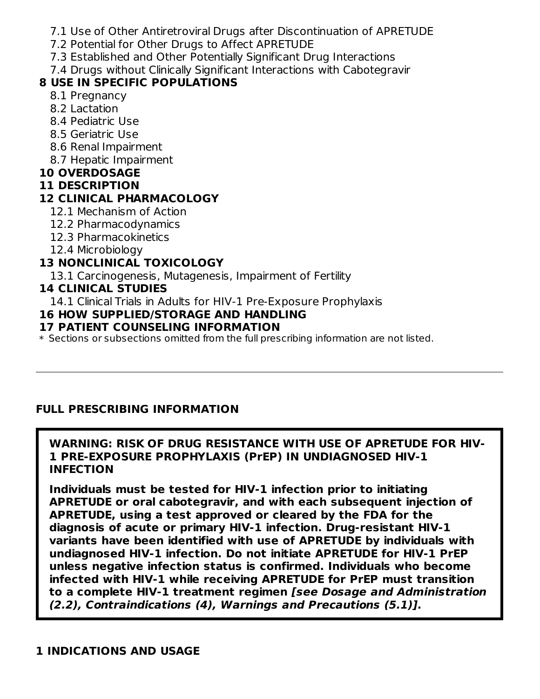- 7.1 Use of Other Antiretroviral Drugs after Discontinuation of APRETUDE
- 7.2 Potential for Other Drugs to Affect APRETUDE
- 7.3 Established and Other Potentially Significant Drug Interactions
- 7.4 Drugs without Clinically Significant Interactions with Cabotegravir

## **8 USE IN SPECIFIC POPULATIONS**

- 8.1 Pregnancy
- 8.2 Lactation
- 8.4 Pediatric Use
- 8.5 Geriatric Use
- 8.6 Renal Impairment
- 8.7 Hepatic Impairment

## **10 OVERDOSAGE**

## **11 DESCRIPTION**

## **12 CLINICAL PHARMACOLOGY**

- 12.1 Mechanism of Action
- 12.2 Pharmacodynamics
- 12.3 Pharmacokinetics
- 12.4 Microbiology

## **13 NONCLINICAL TOXICOLOGY**

13.1 Carcinogenesis, Mutagenesis, Impairment of Fertility

## **14 CLINICAL STUDIES**

14.1 Clinical Trials in Adults for HIV-1 Pre-Exposure Prophylaxis

## **16 HOW SUPPLIED/STORAGE AND HANDLING**

## **17 PATIENT COUNSELING INFORMATION**

 $\ast$  Sections or subsections omitted from the full prescribing information are not listed.

## **FULL PRESCRIBING INFORMATION**

### **WARNING: RISK OF DRUG RESISTANCE WITH USE OF APRETUDE FOR HIV-1 PRE-EXPOSURE PROPHYLAXIS (PrEP) IN UNDIAGNOSED HIV-1 INFECTION**

**Individuals must be tested for HIV-1 infection prior to initiating APRETUDE or oral cabotegravir, and with each subsequent injection of APRETUDE, using a test approved or cleared by the FDA for the diagnosis of acute or primary HIV-1 infection. Drug-resistant HIV-1 variants have been identified with use of APRETUDE by individuals with undiagnosed HIV-1 infection. Do not initiate APRETUDE for HIV-1 PrEP unless negative infection status is confirmed. Individuals who become infected with HIV-1 while receiving APRETUDE for PrEP must transition to a complete HIV-1 treatment regimen [see Dosage and Administration (2.2), Contraindications (4), Warnings and Precautions (5.1)].**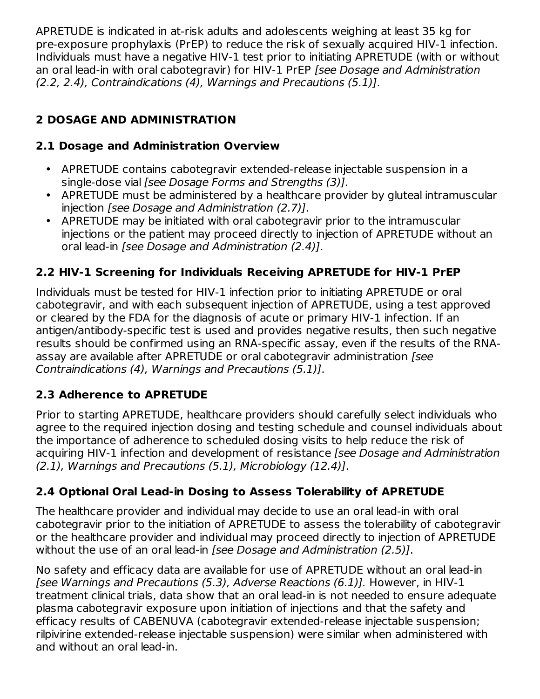APRETUDE is indicated in at-risk adults and adolescents weighing at least 35 kg for pre‑exposure prophylaxis (PrEP) to reduce the risk of sexually acquired HIV-1 infection. Individuals must have a negative HIV-1 test prior to initiating APRETUDE (with or without an oral lead-in with oral cabotegravir) for HIV-1 PrEP [see Dosage and Administration (2.2, 2.4), Contraindications (4), Warnings and Precautions (5.1)].

## **2 DOSAGE AND ADMINISTRATION**

## **2.1 Dosage and Administration Overview**

- APRETUDE contains cabotegravir extended-release injectable suspension in a single-dose vial [see Dosage Forms and Strengths (3)].
- APRETUDE must be administered by a healthcare provider by gluteal intramuscular injection [see Dosage and Administration (2.7)].
- APRETUDE may be initiated with oral cabotegravir prior to the intramuscular injections or the patient may proceed directly to injection of APRETUDE without an oral lead-in [see Dosage and Administration (2.4)].

## **2.2 HIV-1 Screening for Individuals Receiving APRETUDE for HIV-1 PrEP**

Individuals must be tested for HIV-1 infection prior to initiating APRETUDE or oral cabotegravir, and with each subsequent injection of APRETUDE, using a test approved or cleared by the FDA for the diagnosis of acute or primary HIV-1 infection. If an antigen/antibody-specific test is used and provides negative results, then such negative results should be confirmed using an RNA-specific assay, even if the results of the RNAassay are available after APRETUDE or oral cabotegravir administration [see Contraindications (4), Warnings and Precautions (5.1)].

## **2.3 Adherence to APRETUDE**

Prior to starting APRETUDE, healthcare providers should carefully select individuals who agree to the required injection dosing and testing schedule and counsel individuals about the importance of adherence to scheduled dosing visits to help reduce the risk of acquiring HIV-1 infection and development of resistance [see Dosage and Administration (2.1), Warnings and Precautions (5.1), Microbiology (12.4)].

## **2.4 Optional Oral Lead-in Dosing to Assess Tolerability of APRETUDE**

The healthcare provider and individual may decide to use an oral lead-in with oral cabotegravir prior to the initiation of APRETUDE to assess the tolerability of cabotegravir or the healthcare provider and individual may proceed directly to injection of APRETUDE without the use of an oral lead-in [see Dosage and Administration (2.5)].

No safety and efficacy data are available for use of APRETUDE without an oral lead-in [see Warnings and Precautions (5.3), Adverse Reactions (6.1)]. However, in HIV-1 treatment clinical trials, data show that an oral lead-in is not needed to ensure adequate plasma cabotegravir exposure upon initiation of injections and that the safety and efficacy results of CABENUVA (cabotegravir extended-release injectable suspension; rilpivirine extended-release injectable suspension) were similar when administered with and without an oral lead-in.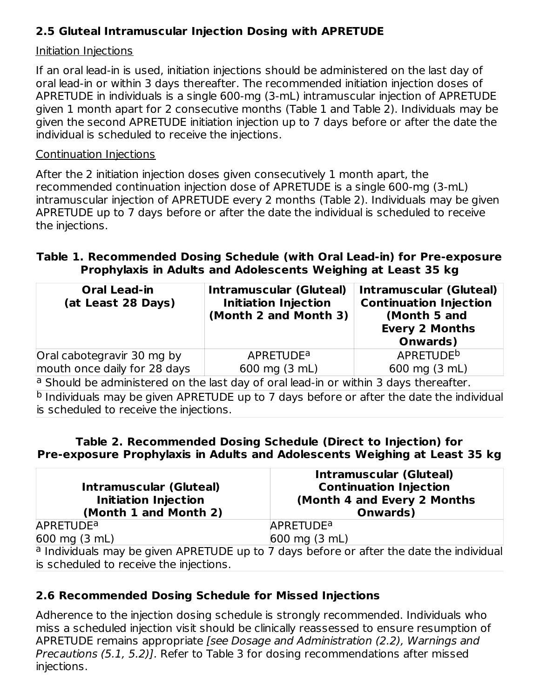## **2.5 Gluteal Intramuscular Injection Dosing with APRETUDE**

### Initiation Injections

If an oral lead-in is used, initiation injections should be administered on the last day of oral lead‑in or within 3 days thereafter. The recommended initiation injection doses of APRETUDE in individuals is a single 600‑mg (3-mL) intramuscular injection of APRETUDE given 1 month apart for 2 consecutive months (Table 1 and Table 2). Individuals may be given the second APRETUDE initiation injection up to 7 days before or after the date the individual is scheduled to receive the injections.

#### Continuation Injections

After the 2 initiation injection doses given consecutively 1 month apart, the recommended continuation injection dose of APRETUDE is a single 600-mg (3-mL) intramuscular injection of APRETUDE every 2 months (Table 2). Individuals may be given APRETUDE up to 7 days before or after the date the individual is scheduled to receive the injections.

### **Table 1. Recommended Dosing Schedule (with Oral Lead-in) for Pre‑exposure Prophylaxis in Adults and Adolescents Weighing at Least 35 kg**

| <b>Oral Lead-in</b><br>(at Least 28 Days)                                             | <b>Intramuscular (Gluteal)</b><br><b>Initiation Injection</b><br>(Month 2 and Month 3) | <b>Intramuscular (Gluteal)</b><br><b>Continuation Injection</b><br>(Month 5 and<br><b>Every 2 Months</b><br>Onwards) |  |  |
|---------------------------------------------------------------------------------------|----------------------------------------------------------------------------------------|----------------------------------------------------------------------------------------------------------------------|--|--|
| Oral cabotegravir 30 mg by                                                            | <b>APRETUDE<sup>a</sup></b>                                                            | APRETUDE <sup>b</sup>                                                                                                |  |  |
| mouth once daily for 28 days                                                          | 600 mg (3 mL)                                                                          | 600 mg $(3 mL)$                                                                                                      |  |  |
| a Should be administered on the last day of oral lead-in or within 3 days thereafter. |                                                                                        |                                                                                                                      |  |  |

<sup>b</sup> Individuals may be given APRETUDE up to 7 days before or after the date the individual is scheduled to receive the injections.

#### **Table 2. Recommended Dosing Schedule (Direct to Injection) for Pre‑exposure Prophylaxis in Adults and Adolescents Weighing at Least 35 kg**

| <b>Intramuscular (Gluteal)</b><br><b>Initiation Injection</b><br>(Month 1 and Month 2) | <b>Intramuscular (Gluteal)</b><br><b>Continuation Injection</b><br>(Month 4 and Every 2 Months<br>Onwards) |
|----------------------------------------------------------------------------------------|------------------------------------------------------------------------------------------------------------|
| <b>APRETUDE<sup>a</sup></b>                                                            | <b>APRETUDE<sup>a</sup></b>                                                                                |
| $600 \text{ mg} (3 \text{ mL})$                                                        | $600 \text{ mg}$ (3 mL)                                                                                    |
|                                                                                        | a Individuals may be given APRETUDE up to 7 days before or after the date the individual                   |
| is scheduled to receive the injections.                                                |                                                                                                            |

## **2.6 Recommended Dosing Schedule for Missed Injections**

Adherence to the injection dosing schedule is strongly recommended. Individuals who miss a scheduled injection visit should be clinically reassessed to ensure resumption of APRETUDE remains appropriate [see Dosage and Administration (2.2), Warnings and Precautions (5.1, 5.2)]. Refer to Table 3 for dosing recommendations after missed injections.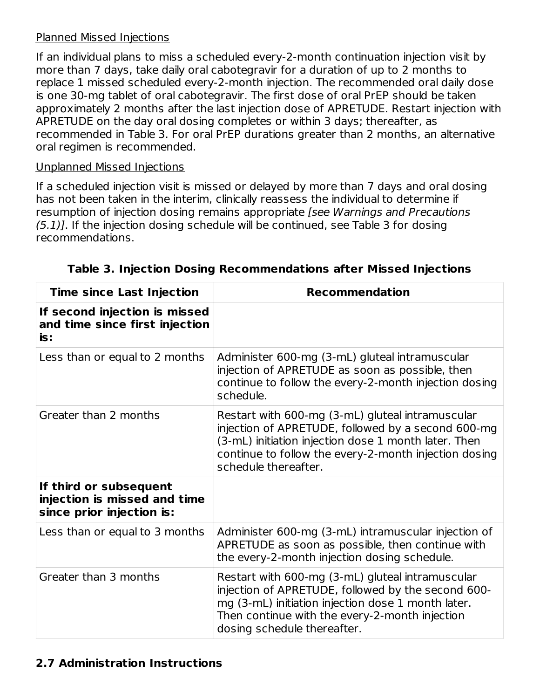### Planned Missed Injections

If an individual plans to miss a scheduled every-2-month continuation injection visit by more than 7 days, take daily oral cabotegravir for a duration of up to 2 months to replace 1 missed scheduled every-2-month injection. The recommended oral daily dose is one 30-mg tablet of oral cabotegravir. The first dose of oral PrEP should be taken approximately 2 months after the last injection dose of APRETUDE. Restart injection with APRETUDE on the day oral dosing completes or within 3 days; thereafter, as recommended in Table 3. For oral PrEP durations greater than 2 months, an alternative oral regimen is recommended.

### Unplanned Missed Injections

If a scheduled injection visit is missed or delayed by more than 7 days and oral dosing has not been taken in the interim, clinically reassess the individual to determine if resumption of injection dosing remains appropriate [see Warnings and Precautions (5.1)]. If the injection dosing schedule will be continued, see Table 3 for dosing recommendations.

| <b>Time since Last Injection</b>                                                    | <b>Recommendation</b>                                                                                                                                                                                                                           |
|-------------------------------------------------------------------------------------|-------------------------------------------------------------------------------------------------------------------------------------------------------------------------------------------------------------------------------------------------|
| If second injection is missed<br>and time since first injection<br>is:              |                                                                                                                                                                                                                                                 |
| Less than or equal to 2 months                                                      | Administer 600-mg (3-mL) gluteal intramuscular<br>injection of APRETUDE as soon as possible, then<br>continue to follow the every-2-month injection dosing<br>schedule.                                                                         |
| Greater than 2 months                                                               | Restart with 600-mg (3-mL) gluteal intramuscular<br>injection of APRETUDE, followed by a second 600-mg<br>(3-mL) initiation injection dose 1 month later. Then<br>continue to follow the every-2-month injection dosing<br>schedule thereafter. |
| If third or subsequent<br>injection is missed and time<br>since prior injection is: |                                                                                                                                                                                                                                                 |
| Less than or equal to 3 months                                                      | Administer 600-mg (3-mL) intramuscular injection of<br>APRETUDE as soon as possible, then continue with<br>the every-2-month injection dosing schedule.                                                                                         |
| Greater than 3 months                                                               | Restart with 600-mg (3-mL) gluteal intramuscular<br>injection of APRETUDE, followed by the second 600-<br>mg (3-mL) initiation injection dose 1 month later.<br>Then continue with the every-2-month injection<br>dosing schedule thereafter.   |

**Table 3. Injection Dosing Recommendations after Missed Injections**

### **2.7 Administration Instructions**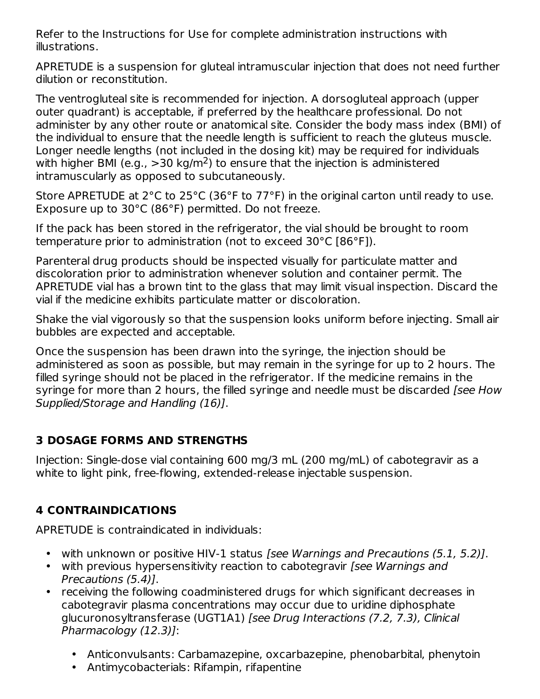Refer to the Instructions for Use for complete administration instructions with illustrations.

APRETUDE is a suspension for gluteal intramuscular injection that does not need further dilution or reconstitution.

The ventrogluteal site is recommended for injection. A dorsogluteal approach (upper outer quadrant) is acceptable, if preferred by the healthcare professional. Do not administer by any other route or anatomical site. Consider the body mass index (BMI) of the individual to ensure that the needle length is sufficient to reach the gluteus muscle. Longer needle lengths (not included in the dosing kit) may be required for individuals with higher BMI (e.g.,  $>$ 30 kg/m<sup>2</sup>) to ensure that the injection is administered intramuscularly as opposed to subcutaneously.

Store APRETUDE at 2°C to 25°C (36°F to 77°F) in the original carton until ready to use. Exposure up to 30°C (86°F) permitted. Do not freeze.

If the pack has been stored in the refrigerator, the vial should be brought to room temperature prior to administration (not to exceed 30°C [86°F]).

Parenteral drug products should be inspected visually for particulate matter and discoloration prior to administration whenever solution and container permit. The APRETUDE vial has a brown tint to the glass that may limit visual inspection. Discard the vial if the medicine exhibits particulate matter or discoloration.

Shake the vial vigorously so that the suspension looks uniform before injecting. Small air bubbles are expected and acceptable.

Once the suspension has been drawn into the syringe, the injection should be administered as soon as possible, but may remain in the syringe for up to 2 hours. The filled syringe should not be placed in the refrigerator. If the medicine remains in the syringe for more than 2 hours, the filled syringe and needle must be discarded *[see How* Supplied/Storage and Handling (16)].

## **3 DOSAGE FORMS AND STRENGTHS**

Injection: Single-dose vial containing 600 mg/3 mL (200 mg/mL) of cabotegravir as a white to light pink, free-flowing, extended-release injectable suspension.

## **4 CONTRAINDICATIONS**

APRETUDE is contraindicated in individuals:

- with unknown or positive HIV-1 status [see Warnings and Precautions (5.1, 5.2)].
- with previous hypersensitivity reaction to cabotegravir [see Warnings and Precautions (5.4)].
- receiving the following coadministered drugs for which significant decreases in cabotegravir plasma concentrations may occur due to uridine diphosphate glucuronosyltransferase (UGT1A1) [see Drug Interactions (7.2, 7.3), Clinical Pharmacology (12.3)]:
	- Anticonvulsants: Carbamazepine, oxcarbazepine, phenobarbital, phenytoin
	- Antimycobacterials: Rifampin, rifapentine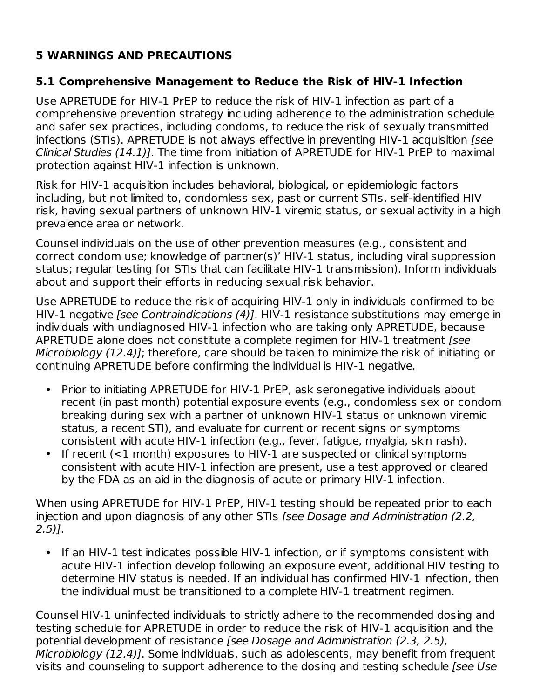## **5 WARNINGS AND PRECAUTIONS**

## **5.1 Comprehensive Management to Reduce the Risk of HIV-1 Infection**

Use APRETUDE for HIV-1 PrEP to reduce the risk of HIV-1 infection as part of a comprehensive prevention strategy including adherence to the administration schedule and safer sex practices, including condoms, to reduce the risk of sexually transmitted infections (STIs). APRETUDE is not always effective in preventing HIV-1 acquisition [see Clinical Studies (14.1)]. The time from initiation of APRETUDE for HIV-1 PrEP to maximal protection against HIV-1 infection is unknown.

Risk for HIV-1 acquisition includes behavioral, biological, or epidemiologic factors including, but not limited to, condomless sex, past or current STIs, self-identified HIV risk, having sexual partners of unknown HIV-1 viremic status, or sexual activity in a high prevalence area or network.

Counsel individuals on the use of other prevention measures (e.g., consistent and correct condom use; knowledge of partner(s)' HIV-1 status, including viral suppression status; regular testing for STIs that can facilitate HIV-1 transmission). Inform individuals about and support their efforts in reducing sexual risk behavior.

Use APRETUDE to reduce the risk of acquiring HIV-1 only in individuals confirmed to be HIV-1 negative *[see Contraindications (4)]*. HIV-1 resistance substitutions may emerge in individuals with undiagnosed HIV‑1 infection who are taking only APRETUDE, because APRETUDE alone does not constitute a complete regimen for HIV-1 treatment (see Microbiology (12.4)]; therefore, care should be taken to minimize the risk of initiating or continuing APRETUDE before confirming the individual is HIV-1 negative.

- Prior to initiating APRETUDE for HIV-1 PrEP, ask seronegative individuals about recent (in past month) potential exposure events (e.g., condomless sex or condom breaking during sex with a partner of unknown HIV-1 status or unknown viremic status, a recent STI), and evaluate for current or recent signs or symptoms consistent with acute HIV-1 infection (e.g., fever, fatigue, myalgia, skin rash).
- If recent (<1 month) exposures to HIV-1 are suspected or clinical symptoms consistent with acute HIV-1 infection are present, use a test approved or cleared by the FDA as an aid in the diagnosis of acute or primary HIV-1 infection.

When using APRETUDE for HIV-1 PrEP, HIV-1 testing should be repeated prior to each injection and upon diagnosis of any other STIs [see Dosage and Administration (2.2, 2.5)].

• If an HIV-1 test indicates possible HIV-1 infection, or if symptoms consistent with acute HIV-1 infection develop following an exposure event, additional HIV testing to determine HIV status is needed. If an individual has confirmed HIV-1 infection, then the individual must be transitioned to a complete HIV-1 treatment regimen.

Counsel HIV-1 uninfected individuals to strictly adhere to the recommended dosing and testing schedule for APRETUDE in order to reduce the risk of HIV-1 acquisition and the potential development of resistance [see Dosage and Administration (2.3, 2.5), Microbiology (12.4)]. Some individuals, such as adolescents, may benefit from frequent visits and counseling to support adherence to the dosing and testing schedule [see Use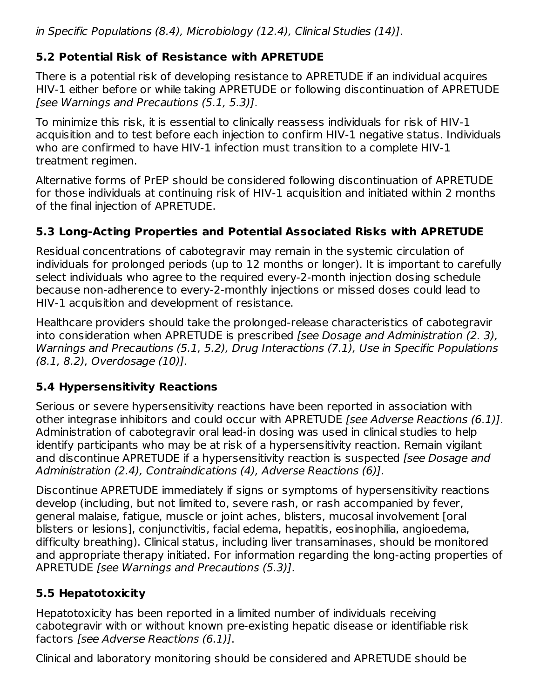## **5.2 Potential Risk of Resistance with APRETUDE**

There is a potential risk of developing resistance to APRETUDE if an individual acquires HIV-1 either before or while taking APRETUDE or following discontinuation of APRETUDE [see Warnings and Precautions (5.1, 5.3)].

To minimize this risk, it is essential to clinically reassess individuals for risk of HIV-1 acquisition and to test before each injection to confirm HIV-1 negative status. Individuals who are confirmed to have HIV-1 infection must transition to a complete HIV-1 treatment regimen.

Alternative forms of PrEP should be considered following discontinuation of APRETUDE for those individuals at continuing risk of HIV-1 acquisition and initiated within 2 months of the final injection of APRETUDE.

## **5.3 Long-Acting Properties and Potential Associated Risks with APRETUDE**

Residual concentrations of cabotegravir may remain in the systemic circulation of individuals for prolonged periods (up to 12 months or longer). It is important to carefully select individuals who agree to the required every-2-month injection dosing schedule because non-adherence to every‑2-monthly injections or missed doses could lead to HIV-1 acquisition and development of resistance.

Healthcare providers should take the prolonged-release characteristics of cabotegravir into consideration when APRETUDE is prescribed [see Dosage and Administration (2. 3), Warnings and Precautions (5.1, 5.2), Drug Interactions (7.1), Use in Specific Populations (8.1, 8.2), Overdosage (10)].

## **5.4 Hypersensitivity Reactions**

Serious or severe hypersensitivity reactions have been reported in association with other integrase inhibitors and could occur with APRETUDE [see Adverse Reactions (6.1)]. Administration of cabotegravir oral lead-in dosing was used in clinical studies to help identify participants who may be at risk of a hypersensitivity reaction. Remain vigilant and discontinue APRETUDE if a hypersensitivity reaction is suspected (see Dosage and Administration (2.4), Contraindications (4), Adverse Reactions (6)].

Discontinue APRETUDE immediately if signs or symptoms of hypersensitivity reactions develop (including, but not limited to, severe rash, or rash accompanied by fever, general malaise, fatigue, muscle or joint aches, blisters, mucosal involvement [oral blisters or lesions], conjunctivitis, facial edema, hepatitis, eosinophilia, angioedema, difficulty breathing). Clinical status, including liver transaminases, should be monitored and appropriate therapy initiated. For information regarding the long-acting properties of APRETUDE [see Warnings and Precautions (5.3)].

## **5.5 Hepatotoxicity**

Hepatotoxicity has been reported in a limited number of individuals receiving cabotegravir with or without known pre-existing hepatic disease or identifiable risk factors [see Adverse Reactions (6.1)].

Clinical and laboratory monitoring should be considered and APRETUDE should be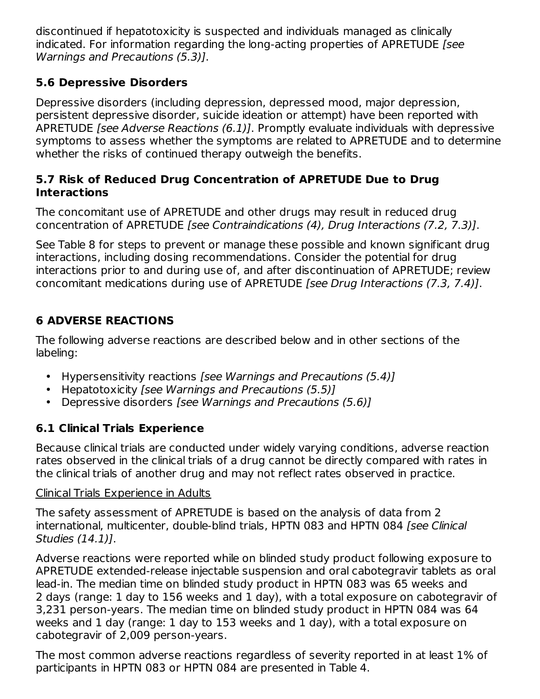discontinued if hepatotoxicity is suspected and individuals managed as clinically indicated. For information regarding the long-acting properties of APRETUDE [see Warnings and Precautions (5.3)].

## **5.6 Depressive Disorders**

Depressive disorders (including depression, depressed mood, major depression, persistent depressive disorder, suicide ideation or attempt) have been reported with APRETUDE [see Adverse Reactions (6.1)]. Promptly evaluate individuals with depressive symptoms to assess whether the symptoms are related to APRETUDE and to determine whether the risks of continued therapy outweigh the benefits.

## **5.7 Risk of Reduced Drug Concentration of APRETUDE Due to Drug Interactions**

The concomitant use of APRETUDE and other drugs may result in reduced drug concentration of APRETUDE [see Contraindications (4), Drug Interactions (7.2, 7.3)].

See Table 8 for steps to prevent or manage these possible and known significant drug interactions, including dosing recommendations. Consider the potential for drug interactions prior to and during use of, and after discontinuation of APRETUDE; review concomitant medications during use of APRETUDE [see Drug Interactions (7.3, 7.4)].

## **6 ADVERSE REACTIONS**

The following adverse reactions are described below and in other sections of the labeling:

- Hypersensitivity reactions [see Warnings and Precautions (5.4)]
- Hepatotoxicity [see Warnings and Precautions (5.5)]
- Depressive disorders [see Warnings and Precautions (5.6)]

## **6.1 Clinical Trials Experience**

Because clinical trials are conducted under widely varying conditions, adverse reaction rates observed in the clinical trials of a drug cannot be directly compared with rates in the clinical trials of another drug and may not reflect rates observed in practice.

## Clinical Trials Experience in Adults

The safety assessment of APRETUDE is based on the analysis of data from 2 international, multicenter, double-blind trials, HPTN 083 and HPTN 084 [see Clinical Studies (14.1)].

Adverse reactions were reported while on blinded study product following exposure to APRETUDE extended-release injectable suspension and oral cabotegravir tablets as oral lead-in. The median time on blinded study product in HPTN 083 was 65 weeks and 2 days (range: 1 day to 156 weeks and 1 day), with a total exposure on cabotegravir of 3,231 person‑years. The median time on blinded study product in HPTN 084 was 64 weeks and 1 day (range: 1 day to 153 weeks and 1 day), with a total exposure on cabotegravir of 2,009 person‑years.

The most common adverse reactions regardless of severity reported in at least 1% of participants in HPTN 083 or HPTN 084 are presented in Table 4.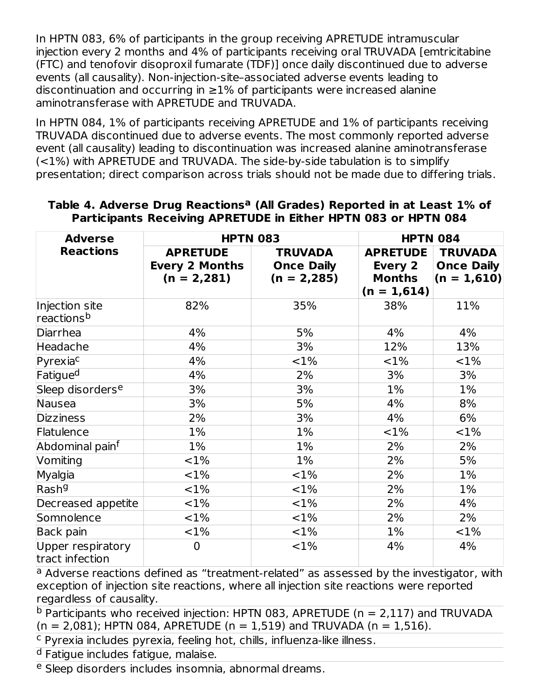In HPTN 083, 6% of participants in the group receiving APRETUDE intramuscular injection every 2 months and 4% of participants receiving oral TRUVADA [emtricitabine (FTC) and tenofovir disoproxil fumarate (TDF)] once daily discontinued due to adverse events (all causality). Non-injection-site–associated adverse events leading to discontinuation and occurring in  $\geq$ 1% of participants were increased alanine aminotransferase with APRETUDE and TRUVADA.

In HPTN 084, 1% of participants receiving APRETUDE and 1% of participants receiving TRUVADA discontinued due to adverse events. The most commonly reported adverse event (all causality) leading to discontinuation was increased alanine aminotransferase (<1%) with APRETUDE and TRUVADA. The side-by-side tabulation is to simplify presentation; direct comparison across trials should not be made due to differing trials.

| <b>Adverse</b>                           | <b>HPTN 083</b>                                           |                                                       | <b>HPTN 084</b>                                              |                                                      |
|------------------------------------------|-----------------------------------------------------------|-------------------------------------------------------|--------------------------------------------------------------|------------------------------------------------------|
| <b>Reactions</b>                         | <b>APRETUDE</b><br><b>Every 2 Months</b><br>$(n = 2,281)$ | <b>TRUVADA</b><br><b>Once Daily</b><br>$(n = 2, 285)$ | <b>APRETUDE</b><br>Every 2<br><b>Months</b><br>$(n = 1,614)$ | <b>TRUVADA</b><br><b>Once Daily</b><br>$(n = 1,610)$ |
| Injection site<br>reactions <sup>b</sup> | 82%                                                       | 35%                                                   | 38%                                                          | 11%                                                  |
| Diarrhea                                 | 4%                                                        | 5%                                                    | 4%                                                           | 4%                                                   |
| Headache                                 | 4%                                                        | 3%                                                    | 12%                                                          | 13%                                                  |
| Pyrexiac                                 | 4%                                                        | $<$ 1%                                                | ${<}1\%$                                                     | <1%                                                  |
| Fatigue <sup>d</sup>                     | 4%                                                        | 2%                                                    | 3%                                                           | 3%                                                   |
| Sleep disorders <sup>e</sup>             | 3%                                                        | 3%                                                    | 1%                                                           | 1%                                                   |
| Nausea                                   | 3%                                                        | 5%                                                    | 4%                                                           | 8%                                                   |
| <b>Dizziness</b>                         | 2%                                                        | 3%                                                    | 4%                                                           | 6%                                                   |
| Flatulence                               | 1%                                                        | $1\%$                                                 | $<1\%$                                                       | ${<}1\%$                                             |
| Abdominal painf                          | 1%                                                        | $1\%$                                                 | 2%                                                           | 2%                                                   |
| Vomiting                                 | ${<}1\%$                                                  | $1\%$                                                 | 2%                                                           | 5%                                                   |
| Myalgia                                  | <1%                                                       | $<$ 1%                                                | 2%                                                           | $1\%$                                                |
| Rash <sup>g</sup>                        | ${<}1\%$                                                  | <1%                                                   | 2%                                                           | $1\%$                                                |
| Decreased appetite                       | ${<}1\%$                                                  | <1%                                                   | 2%                                                           | 4%                                                   |
| Somnolence                               | <1%                                                       | <1%                                                   | 2%                                                           | 2%                                                   |
| Back pain                                | ${<}1\%$                                                  | <1%                                                   | 1%                                                           | <1%                                                  |
| Upper respiratory<br>tract infection     | $\overline{0}$                                            | $<$ 1%                                                | 4%                                                           | 4%                                                   |

#### **Table 4. Adverse Drug Reactions (All Grades) Reported in at Least 1% of a Participants Receiving APRETUDE in Either HPTN 083 or HPTN 084**

<sup>a</sup> Adverse reactions defined as "treatment-related" as assessed by the investigator, with exception of injection site reactions, where all injection site reactions were reported regardless of causality.

 $^{\text{b}}$  Participants who received injection: HPTN 083, APRETUDE (n = 2,117) and TRUVADA  $(n = 2,081)$ ; HPTN 084, APRETUDE  $(n = 1,519)$  and TRUVADA  $(n = 1,516)$ .

<sup>c</sup> Pyrexia includes pyrexia, feeling hot, chills, influenza-like illness.

<sup>d</sup> Fatigue includes fatigue, malaise.

e Sleep disorders includes insomnia, abnormal dreams.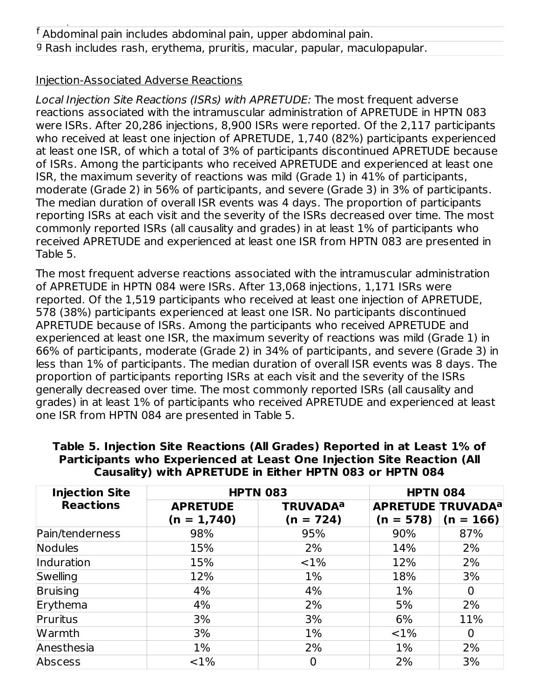Sleep disorders includes insomnia, abnormal dreams.

### Injection-Associated Adverse Reactions

Local Injection Site Reactions (ISRs) with APRETUDE: The most frequent adverse reactions associated with the intramuscular administration of APRETUDE in HPTN 083 were ISRs. After 20,286 injections, 8,900 ISRs were reported. Of the 2,117 participants who received at least one injection of APRETUDE, 1,740 (82%) participants experienced at least one ISR, of which a total of 3% of participants discontinued APRETUDE because of ISRs. Among the participants who received APRETUDE and experienced at least one ISR, the maximum severity of reactions was mild (Grade 1) in 41% of participants, moderate (Grade 2) in 56% of participants, and severe (Grade 3) in 3% of participants. The median duration of overall ISR events was 4 days. The proportion of participants reporting ISRs at each visit and the severity of the ISRs decreased over time. The most commonly reported ISRs (all causality and grades) in at least 1% of participants who received APRETUDE and experienced at least one ISR from HPTN 083 are presented in Table 5.

The most frequent adverse reactions associated with the intramuscular administration of APRETUDE in HPTN 084 were ISRs. After 13,068 injections, 1,171 ISRs were reported. Of the 1,519 participants who received at least one injection of APRETUDE, 578 (38%) participants experienced at least one ISR. No participants discontinued APRETUDE because of ISRs. Among the participants who received APRETUDE and experienced at least one ISR, the maximum severity of reactions was mild (Grade 1) in 66% of participants, moderate (Grade 2) in 34% of participants, and severe (Grade 3) in less than 1% of participants. The median duration of overall ISR events was 8 days. The proportion of participants reporting ISRs at each visit and the severity of the ISRs generally decreased over time. The most commonly reported ISRs (all causality and grades) in at least 1% of participants who received APRETUDE and experienced at least one ISR from HPTN 084 are presented in Table 5.

| <b>Injection Site</b> | <b>HPTN 083</b>                  |                                           | <b>HPTN 084</b>                                    |             |
|-----------------------|----------------------------------|-------------------------------------------|----------------------------------------------------|-------------|
| <b>Reactions</b>      | <b>APRETUDE</b><br>$(n = 1,740)$ | <b>TRUVADA<sup>a</sup></b><br>$(n = 724)$ | <b>APRETUDE TRUVADA<sup>a</sup></b><br>$(n = 578)$ | $(n = 166)$ |
| Pain/tenderness       | 98%                              | 95%                                       | 90%                                                | 87%         |
| Nodules               | 15%                              | 2%                                        | 14%                                                | 2%          |
| Induration            | 15%                              | $< 1\%$                                   | 12%                                                | 2%          |
| Swelling              | 12%                              | 1%                                        | 18%                                                | 3%          |
| Bruising              | 4%                               | 4%                                        | $1\%$                                              | 0           |
| Erythema              | 4%                               | 2%                                        | 5%                                                 | 2%          |
| Pruritus              | 3%                               | 3%                                        | 6%                                                 | 11%         |
| Warmth                | 3%                               | $1\%$                                     | <1%                                                | 0           |
| Anesthesia            | $1\%$                            | 2%                                        | 1%                                                 | 2%          |
| Abscess               | ${<}1\%$                         | $\mathbf 0$                               | 2%                                                 | 3%          |

#### **Table 5. Injection Site Reactions (All Grades) Reported in at Least 1% of Participants who Experienced at Least One Injection Site Reaction (All Causality) with APRETUDE in Either HPTN 083 or HPTN 084**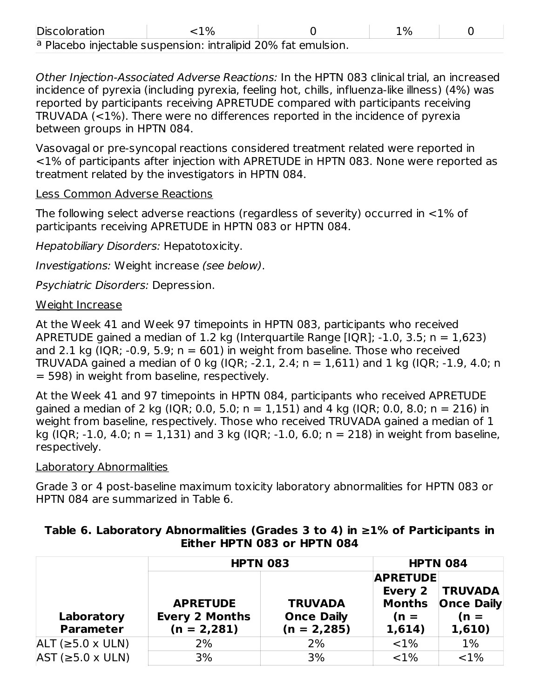| <b>Discoloration</b>                                          | $\mathcal{O}'$ | $1\%$ |  |
|---------------------------------------------------------------|----------------|-------|--|
| a Placebo injectable suspension: intralipid 20% fat emulsion. |                |       |  |

Other Injection-Associated Adverse Reactions: In the HPTN 083 clinical trial, an increased incidence of pyrexia (including pyrexia, feeling hot, chills, influenza-like illness) (4%) was reported by participants receiving APRETUDE compared with participants receiving TRUVADA (<1%). There were no differences reported in the incidence of pyrexia between groups in HPTN 084.

Vasovagal or pre-syncopal reactions considered treatment related were reported in <1% of participants after injection with APRETUDE in HPTN 083. None were reported as treatment related by the investigators in HPTN 084.

#### Less Common Adverse Reactions

The following select adverse reactions (regardless of severity) occurred in <1% of participants receiving APRETUDE in HPTN 083 or HPTN 084.

Hepatobiliary Disorders: Hepatotoxicity.

Investigations: Weight increase (see below).

Psychiatric Disorders: Depression.

### Weight Increase

At the Week 41 and Week 97 timepoints in HPTN 083, participants who received APRETUDE gained a median of 1.2 kg (Interquartile Range [IQR]; -1.0, 3.5; n = 1,623) and 2.1 kg (IQR; -0.9, 5.9;  $n = 601$ ) in weight from baseline. Those who received TRUVADA gained a median of 0 kg (IQR; -2.1, 2.4; n = 1,611) and 1 kg (IQR; -1.9, 4.0; n = 598) in weight from baseline, respectively.

At the Week 41 and 97 timepoints in HPTN 084, participants who received APRETUDE gained a median of 2 kg (IQR; 0.0, 5.0;  $n = 1,151$ ) and 4 kg (IQR; 0.0, 8.0;  $n = 216$ ) in weight from baseline, respectively. Those who received TRUVADA gained a median of 1 kg (IQR; -1.0, 4.0;  $n = 1.131$ ) and 3 kg (IQR; -1.0, 6.0;  $n = 218$ ) in weight from baseline, respectively.

### Laboratory Abnormalities

Grade 3 or 4 post-baseline maximum toxicity laboratory abnormalities for HPTN 083 or HPTN 084 are summarized in Table 6.

|                                |                                                           | <b>HPTN 083</b>                                       |                                                          | <b>HPTN 084</b>                                         |  |
|--------------------------------|-----------------------------------------------------------|-------------------------------------------------------|----------------------------------------------------------|---------------------------------------------------------|--|
| Laboratory<br><b>Parameter</b> | <b>APRETUDE</b><br><b>Every 2 Months</b><br>$(n = 2,281)$ | <b>TRUVADA</b><br><b>Once Daily</b><br>$(n = 2, 285)$ | <b>APRETUDE</b><br>Every 2<br>Months<br>$(n =$<br>1,614) | <b>TRUVADA</b><br><b>Once Daily</b><br>$(n =$<br>1,610) |  |
| $ALT$ ( $\geq$ 5.0 x ULN)      | 2%                                                        | 2%                                                    | <1%                                                      | $1\%$                                                   |  |
| $AST$ ( $\geq$ 5.0 x ULN)      | 3%                                                        | 3%                                                    | ${<}1\%$                                                 | <1%                                                     |  |

### **Table 6. Laboratory Abnormalities (Grades 3 to 4) in ≥1% of Participants in Either HPTN 083 or HPTN 084**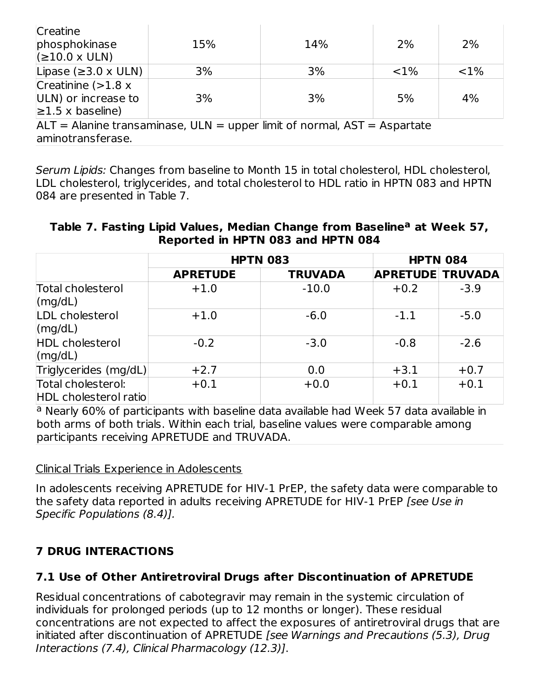| Creatine<br>phosphokinase<br>(≥10.0 × ULN)                                   | 15% | 14% | 2%       | 2%  |
|------------------------------------------------------------------------------|-----|-----|----------|-----|
| Lipase ( $\geq$ 3.0 x ULN)                                                   | 3%  | 3%  | ${<}1\%$ | <1% |
| Creatinine $(>1.8 x$                                                         |     |     |          |     |
| ULN) or increase to                                                          | 3%  | 3%  | 5%       | 4%  |
| $\geq$ 1.5 x baseline)                                                       |     |     |          |     |
| $ALT =$ Alanine transaminase, ULN = upper limit of normal, $AST =$ Aspartate |     |     |          |     |
| aminotransferase.                                                            |     |     |          |     |

Serum Lipids: Changes from baseline to Month 15 in total cholesterol, HDL cholesterol, LDL cholesterol, triglycerides, and total cholesterol to HDL ratio in HPTN 083 and HPTN 084 are presented in Table 7.

#### **Table 7. Fasting Lipid Values, Median Change from Baseline at Week 57, a Reported in HPTN 083 and HPTN 084**

|                                             | <b>HPTN 083</b> |                | <b>HPTN 084</b>         |        |
|---------------------------------------------|-----------------|----------------|-------------------------|--------|
|                                             | <b>APRETUDE</b> | <b>TRUVADA</b> | <b>APRETUDE TRUVADA</b> |        |
| Total cholesterol<br>$\text{(mg/dL)}$       | $+1.0$          | $-10.0$        | $+0.2$                  | $-3.9$ |
| LDL cholesterol<br>$\text{(mg/dL)}$         | $+1.0$          | $-6.0$         | $-1.1$                  | $-5.0$ |
| <b>HDL</b> cholesterol<br>$\text{Im}g/dL$   | $-0.2$          | $-3.0$         | $-0.8$                  | $-2.6$ |
| Triglycerides (mg/dL)                       | $+2.7$          | 0.0            | $+3.1$                  | $+0.7$ |
| Total cholesterol:<br>HDL cholesterol ratio | $+0.1$          | $+0.0$         | $+0.1$                  | $+0.1$ |

<sup>a</sup> Nearly 60% of participants with baseline data available had Week 57 data available in both arms of both trials. Within each trial, baseline values were comparable among participants receiving APRETUDE and TRUVADA.

### Clinical Trials Experience in Adolescents

In adolescents receiving APRETUDE for HIV-1 PrEP, the safety data were comparable to the safety data reported in adults receiving APRETUDE for HIV-1 PrEP [see Use in Specific Populations (8.4)].

## **7 DRUG INTERACTIONS**

## **7.1 Use of Other Antiretroviral Drugs after Discontinuation of APRETUDE**

Residual concentrations of cabotegravir may remain in the systemic circulation of individuals for prolonged periods (up to 12 months or longer). These residual concentrations are not expected to affect the exposures of antiretroviral drugs that are initiated after discontinuation of APRETUDE [see Warnings and Precautions (5.3), Drug Interactions (7.4), Clinical Pharmacology (12.3)].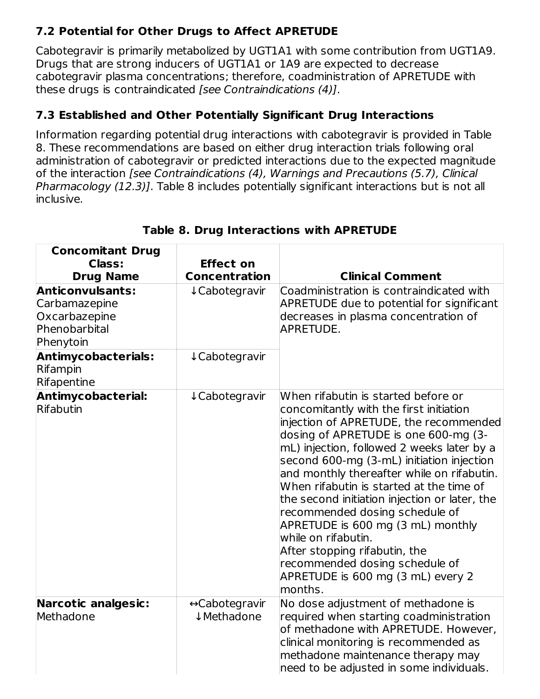## **7.2 Potential for Other Drugs to Affect APRETUDE**

Cabotegravir is primarily metabolized by UGT1A1 with some contribution from UGT1A9. Drugs that are strong inducers of UGT1A1 or 1A9 are expected to decrease cabotegravir plasma concentrations; therefore, coadministration of APRETUDE with these drugs is contraindicated [see Contraindications (4)].

## **7.3 Established and Other Potentially Significant Drug Interactions**

Information regarding potential drug interactions with cabotegravir is provided in Table 8. These recommendations are based on either drug interaction trials following oral administration of cabotegravir or predicted interactions due to the expected magnitude of the interaction [see Contraindications (4), Warnings and Precautions (5.7), Clinical Pharmacology (12.3)]. Table 8 includes potentially significant interactions but is not all inclusive.

| <b>Concomitant Drug</b><br><b>Class:</b><br><b>Drug Name</b>                            | <b>Effect on</b><br><b>Concentration</b> | <b>Clinical Comment</b>                                                                                                                                                                                                                                                                                                                                                                                                                                                                                                                                                                                                 |
|-----------------------------------------------------------------------------------------|------------------------------------------|-------------------------------------------------------------------------------------------------------------------------------------------------------------------------------------------------------------------------------------------------------------------------------------------------------------------------------------------------------------------------------------------------------------------------------------------------------------------------------------------------------------------------------------------------------------------------------------------------------------------------|
| <b>Anticonvulsants:</b><br>Carbamazepine<br>Oxcarbazepine<br>Phenobarbital<br>Phenytoin | ↓Cabotegravir                            | Coadministration is contraindicated with<br><b>APRETUDE due to potential for significant</b><br>decreases in plasma concentration of<br>APRETUDE.                                                                                                                                                                                                                                                                                                                                                                                                                                                                       |
| <b>Antimycobacterials:</b><br>Rifampin<br>Rifapentine                                   | ↓ Cabotegravir                           |                                                                                                                                                                                                                                                                                                                                                                                                                                                                                                                                                                                                                         |
| Antimycobacterial:<br>Rifabutin                                                         | ↓ Cabotegravir                           | When rifabutin is started before or<br>concomitantly with the first initiation<br>injection of APRETUDE, the recommended<br>dosing of APRETUDE is one 600-mg (3-<br>mL) injection, followed 2 weeks later by a<br>second 600-mg (3-mL) initiation injection<br>and monthly thereafter while on rifabutin.<br>When rifabutin is started at the time of<br>the second initiation injection or later, the<br>recommended dosing schedule of<br>APRETUDE is 600 mg (3 mL) monthly<br>while on rifabutin.<br>After stopping rifabutin, the<br>recommended dosing schedule of<br>APRETUDE is 600 mg (3 mL) every 2<br>months. |
| <b>Narcotic analgesic:</b><br>Methadone                                                 | ↔ Cabotegravir<br>↓ Methadone            | No dose adjustment of methadone is<br>required when starting coadministration<br>of methadone with APRETUDE. However,<br>clinical monitoring is recommended as<br>methadone maintenance therapy may<br>need to be adjusted in some individuals.                                                                                                                                                                                                                                                                                                                                                                         |

## **Table 8. Drug Interactions with APRETUDE**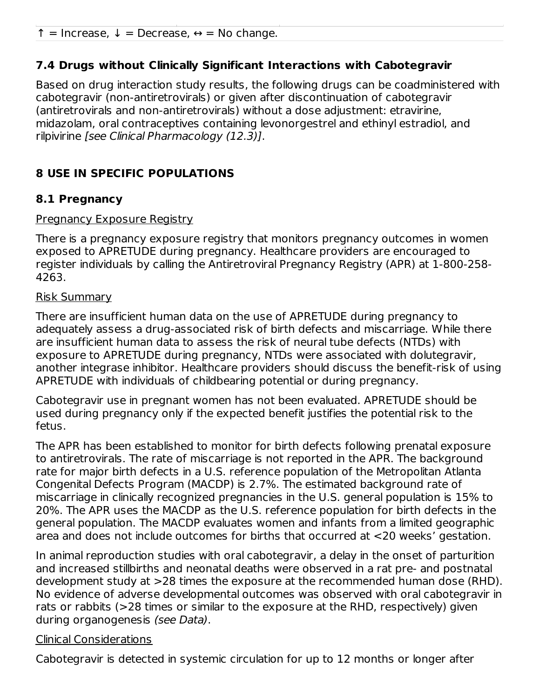↑ = Increase, ↓ = Decrease, ↔ = No change.

## **7.4 Drugs without Clinically Significant Interactions with Cabotegravir**

Based on drug interaction study results, the following drugs can be coadministered with cabotegravir (non-antiretrovirals) or given after discontinuation of cabotegravir (antiretrovirals and non-antiretrovirals) without a dose adjustment: etravirine, midazolam, oral contraceptives containing levonorgestrel and ethinyl estradiol, and rilpivirine [see Clinical Pharmacology (12.3)].

## **8 USE IN SPECIFIC POPULATIONS**

## **8.1 Pregnancy**

#### Pregnancy Exposure Registry

There is a pregnancy exposure registry that monitors pregnancy outcomes in women exposed to APRETUDE during pregnancy. Healthcare providers are encouraged to register individuals by calling the Antiretroviral Pregnancy Registry (APR) at 1-800-258- 4263.

#### Risk Summary

There are insufficient human data on the use of APRETUDE during pregnancy to adequately assess a drug-associated risk of birth defects and miscarriage. While there are insufficient human data to assess the risk of neural tube defects (NTDs) with exposure to APRETUDE during pregnancy, NTDs were associated with dolutegravir, another integrase inhibitor. Healthcare providers should discuss the benefit-risk of using APRETUDE with individuals of childbearing potential or during pregnancy.

Cabotegravir use in pregnant women has not been evaluated. APRETUDE should be used during pregnancy only if the expected benefit justifies the potential risk to the fetus.

The APR has been established to monitor for birth defects following prenatal exposure to antiretrovirals. The rate of miscarriage is not reported in the APR. The background rate for major birth defects in a U.S. reference population of the Metropolitan Atlanta Congenital Defects Program (MACDP) is 2.7%. The estimated background rate of miscarriage in clinically recognized pregnancies in the U.S. general population is 15% to 20%. The APR uses the MACDP as the U.S. reference population for birth defects in the general population. The MACDP evaluates women and infants from a limited geographic area and does not include outcomes for births that occurred at <20 weeks' gestation.

In animal reproduction studies with oral cabotegravir, a delay in the onset of parturition and increased stillbirths and neonatal deaths were observed in a rat pre- and postnatal development study at >28 times the exposure at the recommended human dose (RHD). No evidence of adverse developmental outcomes was observed with oral cabotegravir in rats or rabbits (>28 times or similar to the exposure at the RHD, respectively) given during organogenesis (see Data).

### Clinical Considerations

Cabotegravir is detected in systemic circulation for up to 12 months or longer after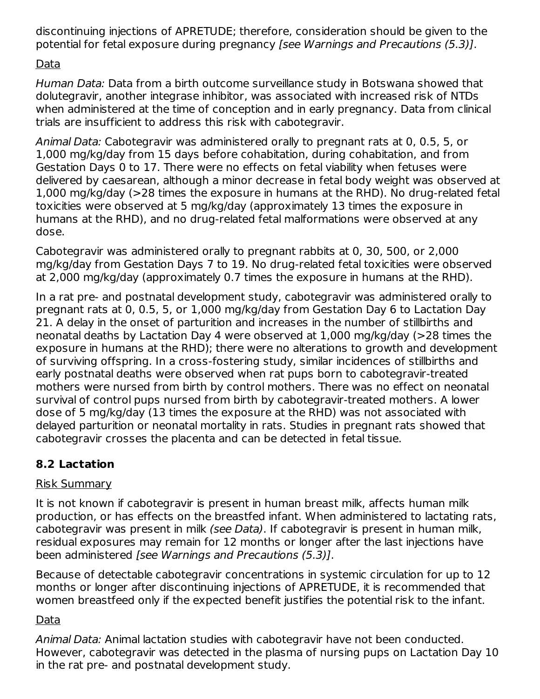discontinuing injections of APRETUDE; therefore, consideration should be given to the potential for fetal exposure during pregnancy [see Warnings and Precautions (5.3)].

## Data

Human Data: Data from a birth outcome surveillance study in Botswana showed that dolutegravir, another integrase inhibitor, was associated with increased risk of NTDs when administered at the time of conception and in early pregnancy. Data from clinical trials are insufficient to address this risk with cabotegravir.

Animal Data: Cabotegravir was administered orally to pregnant rats at 0, 0.5, 5, or 1,000 mg/kg/day from 15 days before cohabitation, during cohabitation, and from Gestation Days 0 to 17. There were no effects on fetal viability when fetuses were delivered by caesarean, although a minor decrease in fetal body weight was observed at 1,000 mg/kg/day (>28 times the exposure in humans at the RHD). No drug-related fetal toxicities were observed at 5 mg/kg/day (approximately 13 times the exposure in humans at the RHD), and no drug-related fetal malformations were observed at any dose.

Cabotegravir was administered orally to pregnant rabbits at 0, 30, 500, or 2,000 mg/kg/day from Gestation Days 7 to 19. No drug-related fetal toxicities were observed at 2,000 mg/kg/day (approximately 0.7 times the exposure in humans at the RHD).

In a rat pre- and postnatal development study, cabotegravir was administered orally to pregnant rats at 0, 0.5, 5, or 1,000 mg/kg/day from Gestation Day 6 to Lactation Day 21. A delay in the onset of parturition and increases in the number of stillbirths and neonatal deaths by Lactation Day 4 were observed at 1,000 mg/kg/day (>28 times the exposure in humans at the RHD); there were no alterations to growth and development of surviving offspring. In a cross-fostering study, similar incidences of stillbirths and early postnatal deaths were observed when rat pups born to cabotegravir-treated mothers were nursed from birth by control mothers. There was no effect on neonatal survival of control pups nursed from birth by cabotegravir-treated mothers. A lower dose of 5 mg/kg/day (13 times the exposure at the RHD) was not associated with delayed parturition or neonatal mortality in rats. Studies in pregnant rats showed that cabotegravir crosses the placenta and can be detected in fetal tissue.

## **8.2 Lactation**

## Risk Summary

It is not known if cabotegravir is present in human breast milk, affects human milk production, or has effects on the breastfed infant. When administered to lactating rats, cabotegravir was present in milk (see Data). If cabotegravir is present in human milk, residual exposures may remain for 12 months or longer after the last injections have been administered [see Warnings and Precautions (5.3)].

Because of detectable cabotegravir concentrations in systemic circulation for up to 12 months or longer after discontinuing injections of APRETUDE, it is recommended that women breastfeed only if the expected benefit justifies the potential risk to the infant.

## Data

Animal Data: Animal lactation studies with cabotegravir have not been conducted. However, cabotegravir was detected in the plasma of nursing pups on Lactation Day 10 in the rat pre- and postnatal development study.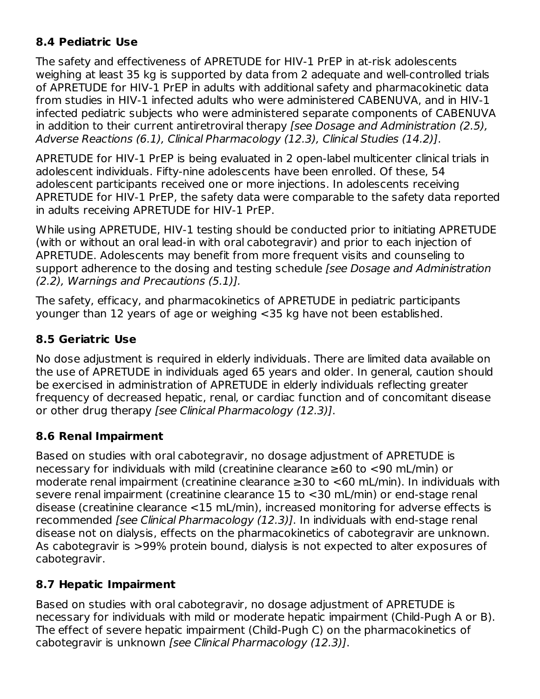## **8.4 Pediatric Use**

The safety and effectiveness of APRETUDE for HIV-1 PrEP in at-risk adolescents weighing at least 35 kg is supported by data from 2 adequate and well-controlled trials of APRETUDE for HIV-1 PrEP in adults with additional safety and pharmacokinetic data from studies in HIV-1 infected adults who were administered CABENUVA, and in HIV-1 infected pediatric subjects who were administered separate components of CABENUVA in addition to their current antiretroviral therapy [see Dosage and Administration (2.5), Adverse Reactions (6.1), Clinical Pharmacology (12.3), Clinical Studies (14.2)].

APRETUDE for HIV-1 PrEP is being evaluated in 2 open-label multicenter clinical trials in adolescent individuals. Fifty-nine adolescents have been enrolled. Of these, 54 adolescent participants received one or more injections. In adolescents receiving APRETUDE for HIV-1 PrEP, the safety data were comparable to the safety data reported in adults receiving APRETUDE for HIV-1 PrEP.

While using APRETUDE, HIV-1 testing should be conducted prior to initiating APRETUDE (with or without an oral lead-in with oral cabotegravir) and prior to each injection of APRETUDE. Adolescents may benefit from more frequent visits and counseling to support adherence to the dosing and testing schedule *[see Dosage and Administration* (2.2), Warnings and Precautions (5.1)].

The safety, efficacy, and pharmacokinetics of APRETUDE in pediatric participants younger than 12 years of age or weighing <35 kg have not been established.

## **8.5 Geriatric Use**

No dose adjustment is required in elderly individuals. There are limited data available on the use of APRETUDE in individuals aged 65 years and older. In general, caution should be exercised in administration of APRETUDE in elderly individuals reflecting greater frequency of decreased hepatic, renal, or cardiac function and of concomitant disease or other drug therapy [see Clinical Pharmacology (12.3)].

## **8.6 Renal Impairment**

Based on studies with oral cabotegravir, no dosage adjustment of APRETUDE is necessary for individuals with mild (creatinine clearance ≥60 to <90 mL/min) or moderate renal impairment (creatinine clearance ≥30 to <60 mL/min). In individuals with severe renal impairment (creatinine clearance 15 to <30 mL/min) or end-stage renal disease (creatinine clearance <15 mL/min), increased monitoring for adverse effects is recommended [see Clinical Pharmacology (12.3)]. In individuals with end-stage renal disease not on dialysis, effects on the pharmacokinetics of cabotegravir are unknown. As cabotegravir is >99% protein bound, dialysis is not expected to alter exposures of cabotegravir.

## **8.7 Hepatic Impairment**

Based on studies with oral cabotegravir, no dosage adjustment of APRETUDE is necessary for individuals with mild or moderate hepatic impairment (Child-Pugh A or B). The effect of severe hepatic impairment (Child-Pugh C) on the pharmacokinetics of cabotegravir is unknown [see Clinical Pharmacology (12.3)].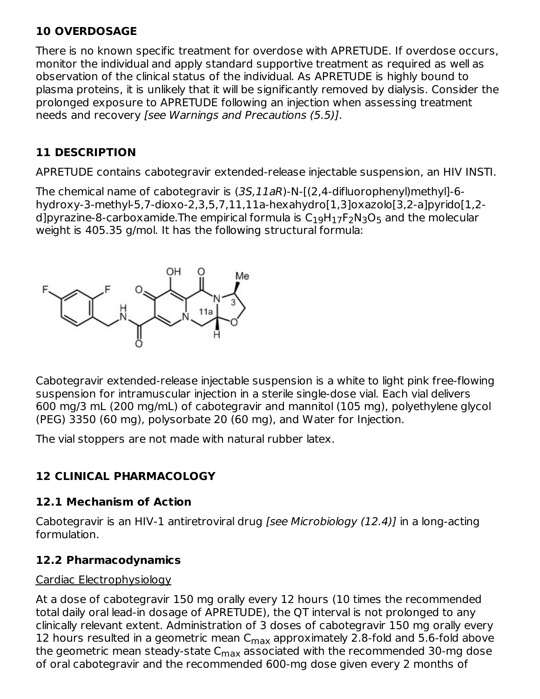## **10 OVERDOSAGE**

There is no known specific treatment for overdose with APRETUDE. If overdose occurs, monitor the individual and apply standard supportive treatment as required as well as observation of the clinical status of the individual. As APRETUDE is highly bound to plasma proteins, it is unlikely that it will be significantly removed by dialysis. Consider the prolonged exposure to APRETUDE following an injection when assessing treatment needs and recovery [see Warnings and Precautions (5.5)].

## **11 DESCRIPTION**

APRETUDE contains cabotegravir extended-release injectable suspension, an HIV INSTI.

The chemical name of cabotegravir is (3S,11aR)-N-[(2,4-difluorophenyl)methyl]-6 hydroxy-3-methyl-5,7-dioxo-2,3,5,7,11,11a-hexahydro[1,3]oxazolo[3,2-a]pyrido[1,2 d]pyrazine-8-carboxamide.The empirical formula is  $\mathsf{C}_1$ <sub>9</sub>H $_{17}$ F $_2$ N $_3$ O $_5$  and the molecular weight is 405.35 g/mol. It has the following structural formula:



Cabotegravir extended-release injectable suspension is a white to light pink free-flowing suspension for intramuscular injection in a sterile single-dose vial. Each vial delivers 600 mg/3 mL (200 mg/mL) of cabotegravir and mannitol (105 mg), polyethylene glycol (PEG) 3350 (60 mg), polysorbate 20 (60 mg), and Water for Injection.

The vial stoppers are not made with natural rubber latex.

## **12 CLINICAL PHARMACOLOGY**

## **12.1 Mechanism of Action**

Cabotegravir is an HIV-1 antiretroviral drug [see Microbiology (12.4)] in a long-acting formulation.

## **12.2 Pharmacodynamics**

## Cardiac Electrophysiology

At a dose of cabotegravir 150 mg orally every 12 hours (10 times the recommended total daily oral lead‑in dosage of APRETUDE), the QT interval is not prolonged to any clinically relevant extent. Administration of 3 doses of cabotegravir 150 mg orally every 12 hours resulted in a geometric mean  $C_{\sf max}$  approximately 2.8-fold and 5.6-fold above the geometric mean steady-state C $_{\sf max}$  associated with the recommended 30-mg dose of oral cabotegravir and the recommended 600-mg dose given every 2 months of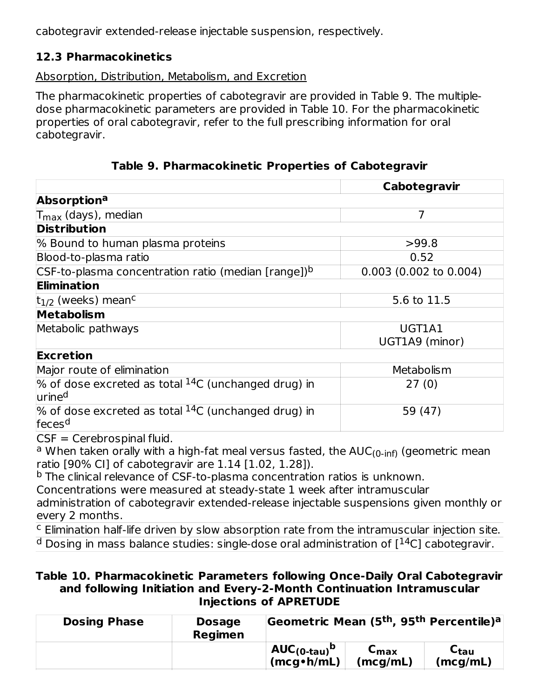cabotegravir extended-release injectable suspension, respectively.

## **12.3 Pharmacokinetics**

### Absorption, Distribution, Metabolism, and Excretion

The pharmacokinetic properties of cabotegravir are provided in Table 9. The multipledose pharmacokinetic parameters are provided in Table 10. For the pharmacokinetic properties of oral cabotegravir, refer to the full prescribing information for oral cabotegravir.

**Table 9. Pharmacokinetic Properties of Cabotegravir**

|                                                                                                                                   | Cabotegravir             |
|-----------------------------------------------------------------------------------------------------------------------------------|--------------------------|
| Absorption <sup>a</sup>                                                                                                           |                          |
| T <sub>max</sub> (days), median                                                                                                   | $\overline{7}$           |
| <b>Distribution</b>                                                                                                               |                          |
| % Bound to human plasma proteins                                                                                                  | >99.8                    |
| Blood-to-plasma ratio                                                                                                             | 0.52                     |
| $\mathsf{CSF}\text{-to}\text{-}\mathsf{plasma}\text{-}\mathsf{concentration}\text{-}\mathsf{ratio}$ (median [range]) <sup>b</sup> | $0.003$ (0.002 to 0.004) |
| Elimination                                                                                                                       |                          |
| $t_{1/2}$ (weeks) mean <sup>c</sup>                                                                                               | 5.6 to 11.5              |
| <b>Metabolism</b>                                                                                                                 |                          |
| Metabolic pathways                                                                                                                | UGT1A1                   |
|                                                                                                                                   | UGT1A9 (minor)           |
| Excretion                                                                                                                         |                          |
| Major route of elimination                                                                                                        | Metabolism               |
| $\%$ of dose excreted as total $^{14}$ C (unchanged drug) in<br>urine <sup>d</sup>                                                | 27(0)                    |
| $\%$ of dose excreted as total $^{14}$ C (unchanged drug) in<br>feces <sup>d</sup>                                                | 59 (47)                  |
| $CSE - Carahrocninal fluid$                                                                                                       |                          |

CSF = Cerebrospinal fluid.

<sup>a</sup> When taken orally with a high-fat meal versus fasted, the AUC<sub>(0-inf)</sub> (geometric mean ratio [90% CI] of cabotegravir are 1.14 [1.02, 1.28]).

<sup>b</sup> The clinical relevance of CSF-to-plasma concentration ratios is unknown.

Concentrations were measured at steady-state 1 week after intramuscular

administration of cabotegravir extended-release injectable suspensions given monthly or every 2 months.

<sup>c</sup> Elimination half-life driven by slow absorption rate from the intramuscular injection site.  $^{\rm d}$  Dosing in mass balance studies: single-dose oral administration of [ $^{14}$ C] cabotegravir.

#### **Table 10. Pharmacokinetic Parameters following Once-Daily Oral Cabotegravir and following Initiation and Every-2-Month Continuation Intramuscular Injections of APRETUDE**

| <b>Dosing Phase</b> | <b>Dosage</b><br><b>Regimen</b> | Geometric Mean (5 <sup>th</sup> , 95 <sup>th</sup> Percentile) <sup>a</sup> |                  |                                         |
|---------------------|---------------------------------|-----------------------------------------------------------------------------|------------------|-----------------------------------------|
|                     |                                 | $AUC_{(0\textrm{-}tau)}^{\textrm{b}}$<br>$(mcq \cdot h/mL)$                 | ⊾max<br>(mcg/mL) | $\mathsf{c}_{\mathsf{tau}}$<br>(mcg/mL) |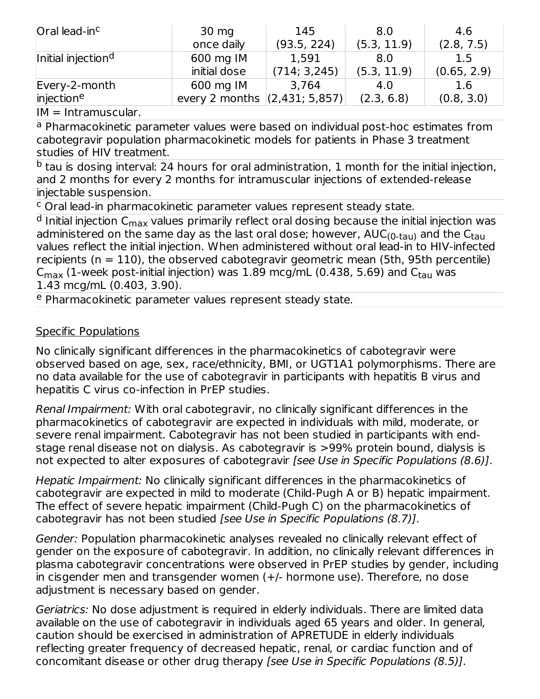| Oral lead-in <sup>c</sup>      | $30 \text{ mg}$               | 145          | 8.0         | 4.6         |
|--------------------------------|-------------------------------|--------------|-------------|-------------|
|                                | once daily                    | (93.5, 224)  | (5.3, 11.9) | (2.8, 7.5)  |
| Initial injection <sup>d</sup> | 600 mg IM                     | 1,591        | 8.0         | 1.5         |
|                                | initial dose                  | (714; 3,245) | (5.3, 11.9) | (0.65, 2.9) |
| Every-2-month                  | 600 mg IM                     | 3,764        | 4.0         | 1.6         |
| injectione                     | every 2 months (2,431; 5,857) |              | (2.3, 6.8)  | (0.8, 3.0)  |

IM = Intramuscular.

<sup>a</sup> Pharmacokinetic parameter values were based on individual post-hoc estimates from cabotegravir population pharmacokinetic models for patients in Phase 3 treatment studies of HIV treatment.

 $^{\rm b}$  tau is dosing interval: 24 hours for oral administration, 1 month for the initial injection, and 2 months for every 2 months for intramuscular injections of extended-release injectable suspension.

<sup>c</sup> Oral lead-in pharmacokinetic parameter values represent steady state.

<sup>d</sup> Initial injection C<sub>max</sub> values primarily reflect oral dosing because the initial injection was administered on the same day as the last oral dose; however, AUC<sub>(0-tau)</sub> and the C<sub>tau</sub> values reflect the initial injection. When administered without oral lead-in to HIV-infected recipients ( $n = 110$ ), the observed cabotegravir geometric mean (5th, 95th percentile)  $\mathsf{C}_{\mathsf{max}}$  (1-week post-initial injection) was  $1.89$  mcg/mL (0.438, 5.69) and  $\mathsf{C}_{\mathsf{tau}}$  was 1.43 mcg/mL (0.403, 3.90).

<sup>e</sup> Pharmacokinetic parameter values represent steady state.

### Specific Populations

No clinically significant differences in the pharmacokinetics of cabotegravir were observed based on age, sex, race/ethnicity, BMI, or UGT1A1 polymorphisms. There are no data available for the use of cabotegravir in participants with hepatitis B virus and hepatitis C virus co-infection in PrEP studies.

Renal Impairment: With oral cabotegravir, no clinically significant differences in the pharmacokinetics of cabotegravir are expected in individuals with mild, moderate, or severe renal impairment. Cabotegravir has not been studied in participants with endstage renal disease not on dialysis. As cabotegravir is >99% protein bound, dialysis is not expected to alter exposures of cabotegravir [see Use in Specific Populations (8.6)].

Hepatic Impairment: No clinically significant differences in the pharmacokinetics of cabotegravir are expected in mild to moderate (Child-Pugh A or B) hepatic impairment. The effect of severe hepatic impairment (Child-Pugh C) on the pharmacokinetics of cabotegravir has not been studied [see Use in Specific Populations (8.7)].

Gender: Population pharmacokinetic analyses revealed no clinically relevant effect of gender on the exposure of cabotegravir. In addition, no clinically relevant differences in plasma cabotegravir concentrations were observed in PrEP studies by gender, including in cisgender men and transgender women (+/- hormone use). Therefore, no dose adjustment is necessary based on gender.

Geriatrics: No dose adjustment is required in elderly individuals. There are limited data available on the use of cabotegravir in individuals aged 65 years and older. In general, caution should be exercised in administration of APRETUDE in elderly individuals reflecting greater frequency of decreased hepatic, renal, or cardiac function and of concomitant disease or other drug therapy [see Use in Specific Populations (8.5)].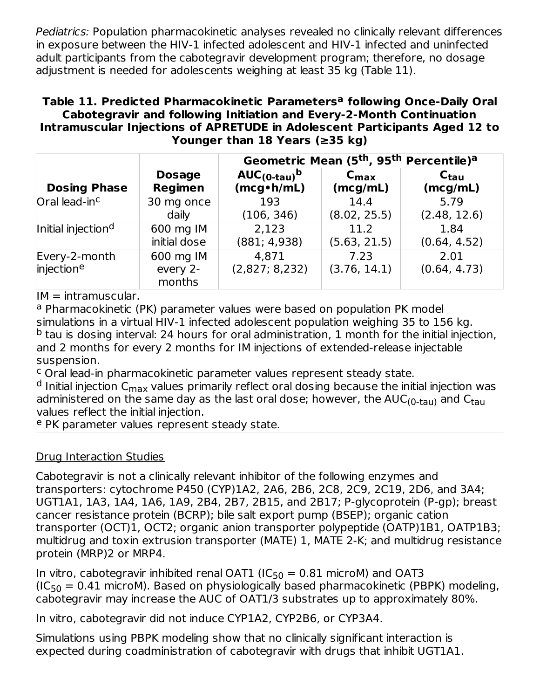Pediatrics: Population pharmacokinetic analyses revealed no clinically relevant differences in exposure between the HIV-1 infected adolescent and HIV-1 infected and uninfected adult participants from the cabotegravir development program; therefore, no dosage adjustment is needed for adolescents weighing at least 35 kg (Table 11).

#### **Table 11. Predicted Pharmacokinetic Parameters following Once-Daily Oral a Cabotegravir and following Initiation and Every-2-Month Continuation Intramuscular Injections of APRETUDE in Adolescent Participants Aged 12 to Younger than 18 Years (≥35 kg)**

|                                |                                 | Geometric Mean (5 <sup>th</sup> , 95 <sup>th</sup> Percentile) <sup>a</sup> |                      |                      |  |  |  |
|--------------------------------|---------------------------------|-----------------------------------------------------------------------------|----------------------|----------------------|--|--|--|
| <b>Dosing Phase</b>            | <b>Dosage</b>                   | $AUC_{(0\textrm{-}tau)}^{\phantom{\dag}}$                                   | $C_{\text{max}}$     | $C_{\text{tau}}$     |  |  |  |
|                                | <b>Regimen</b>                  | $(mcg \cdot h/mL)$                                                          | (mcg/mL)             | (mcg/mL)             |  |  |  |
| Oral lead-in <sup>c</sup>      | 30 mg once                      | 193                                                                         | 14.4                 | 5.79                 |  |  |  |
|                                | daily                           | (106, 346)                                                                  | (8.02, 25.5)         | (2.48, 12.6)         |  |  |  |
| Initial injection <sup>d</sup> | 600 mg IM                       | 2,123                                                                       | 11.2                 | 1.84                 |  |  |  |
|                                | initial dose                    | (881; 4,938)                                                                | (5.63, 21.5)         | (0.64, 4.52)         |  |  |  |
| Every-2-month<br>injectione    | 600 mg IM<br>every 2-<br>months | 4,871<br>(2,827; 8,232)                                                     | 7.23<br>(3.76, 14.1) | 2.01<br>(0.64, 4.73) |  |  |  |

 $IM = intramuscular.$ 

<sup>a</sup> Pharmacokinetic (PK) parameter values were based on population PK model simulations in a virtual HIV-1 infected adolescent population weighing 35 to 156 kg.  $^{\rm b}$  tau is dosing interval: 24 hours for oral administration, 1 month for the initial injection, and 2 months for every 2 months for IM injections of extended-release injectable suspension.

<sup>c</sup> Oral lead-in pharmacokinetic parameter values represent steady state.

<sup>d</sup> Initial injection C<sub>max</sub> values primarily reflect oral dosing because the initial injection was administered on the same day as the last oral dose; however, the AUC<sub>(0-tau)</sub> and C<sub>tau</sub> values reflect the initial injection.

e PK parameter values represent steady state.

## Drug Interaction Studies

Cabotegravir is not a clinically relevant inhibitor of the following enzymes and transporters: cytochrome P450 (CYP)1A2, 2A6, 2B6, 2C8, 2C9, 2C19, 2D6, and 3A4; UGT1A1, 1A3, 1A4, 1A6, 1A9, 2B4, 2B7, 2B15, and 2B17; P-glycoprotein (P‑gp); breast cancer resistance protein (BCRP); bile salt export pump (BSEP); organic cation transporter (OCT)1, OCT2; organic anion transporter polypeptide (OATP)1B1, OATP1B3; multidrug and toxin extrusion transporter (MATE) 1, MATE 2-K; and multidrug resistance protein (MRP)2 or MRP4.

In vitro, cabotegravir inhibited renal OAT1 (IC $_{50}$  = 0.81 microM) and OAT3  $(IC<sub>50</sub> = 0.41$  microM). Based on physiologically based pharmacokinetic (PBPK) modeling, cabotegravir may increase the AUC of OAT1/3 substrates up to approximately 80%.

In vitro, cabotegravir did not induce CYP1A2, CYP2B6, or CYP3A4.

Simulations using PBPK modeling show that no clinically significant interaction is expected during coadministration of cabotegravir with drugs that inhibit UGT1A1.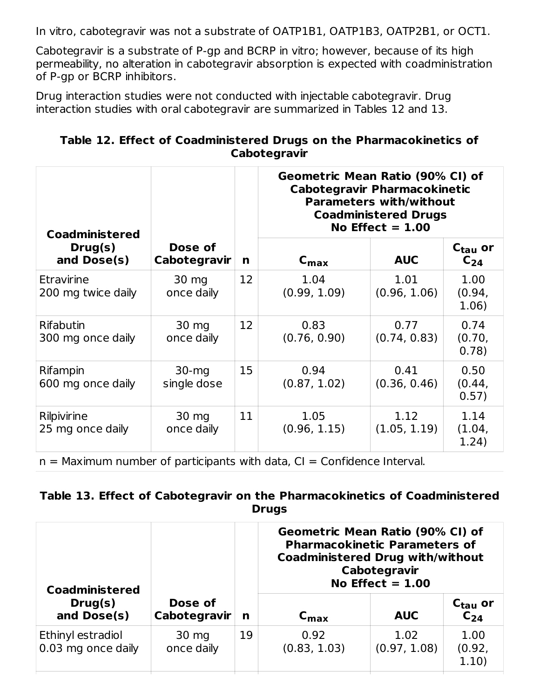In vitro, cabotegravir was not a substrate of OATP1B1, OATP1B3, OATP2B1, or OCT1.

Cabotegravir is a substrate of P-gp and BCRP in vitro; however, because of its high permeability, no alteration in cabotegravir absorption is expected with coadministration of P-gp or BCRP inhibitors.

Drug interaction studies were not conducted with injectable cabotegravir. Drug interaction studies with oral cabotegravir are summarized in Tables 12 and 13.

| Table 12. Effect of Coadministered Drugs on the Pharmacokinetics of |
|---------------------------------------------------------------------|
| Cabotegravir                                                        |

| <b>Coadministered</b>            |                         |                   | Geometric Mean Ratio (90% CI) of<br><b>Cabotegravir Pharmacokinetic</b><br><b>Parameters with/without</b><br><b>Coadministered Drugs</b><br>No Effect $= 1.00$ |                      |                                 |
|----------------------------------|-------------------------|-------------------|----------------------------------------------------------------------------------------------------------------------------------------------------------------|----------------------|---------------------------------|
| Drug(s)<br>and Dose(s)           | Dose of<br>Cabotegravir | n                 | $C_{\text{max}}$                                                                                                                                               | <b>AUC</b>           | C <sub>tau</sub> or<br>$C_{24}$ |
| Etravirine<br>200 mg twice daily | 30 mg<br>once daily     | $12 \overline{ }$ | 1.04<br>(0.99, 1.09)                                                                                                                                           | 1.01<br>(0.96, 1.06) | 1.00<br>(0.94,<br>1.06)         |
| Rifabutin<br>300 mg once daily   | 30 mg<br>once daily     | $12 \overline{ }$ | 0.83<br>(0.76, 0.90)                                                                                                                                           | 0.77<br>(0.74, 0.83) | 0.74<br>(0.70,<br>0.78)         |
| Rifampin<br>600 mg once daily    | $30-mq$<br>single dose  | 15                | 0.94<br>(0.87, 1.02)                                                                                                                                           | 0.41<br>(0.36, 0.46) | 0.50<br>(0.44,<br>0.57)         |
| Rilpivirine<br>25 mg once daily  | 30 mg<br>once daily     | 11                | 1.05<br>(0.96, 1.15)                                                                                                                                           | 1.12<br>(1.05, 1.19) | 1.14<br>(1.04,<br>1.24)         |

 $n =$  Maximum number of participants with data,  $CI =$  Confidence Interval.

### **Table 13. Effect of Cabotegravir on the Pharmacokinetics of Coadministered Drugs**

| <b>Coadministered</b>                   |                               |    | Geometric Mean Ratio (90% CI) of<br><b>Pharmacokinetic Parameters of</b><br><b>Coadministered Drug with/without</b><br>Cabotegravir<br>No Effect $= 1.00$ |                      |                                 |
|-----------------------------------------|-------------------------------|----|-----------------------------------------------------------------------------------------------------------------------------------------------------------|----------------------|---------------------------------|
| Drug(s)<br>and Dose(s)                  | Dose of<br>Cabotegravir       | n  | $C_{\text{max}}$                                                                                                                                          | <b>AUC</b>           | C <sub>tau</sub> or<br>$C_{24}$ |
| Ethinyl estradiol<br>0.03 mg once daily | $30 \text{ mg}$<br>once daily | 19 | 0.92<br>(0.83, 1.03)                                                                                                                                      | 1.02<br>(0.97, 1.08) | 1.00<br>(0.92,<br>1.10)         |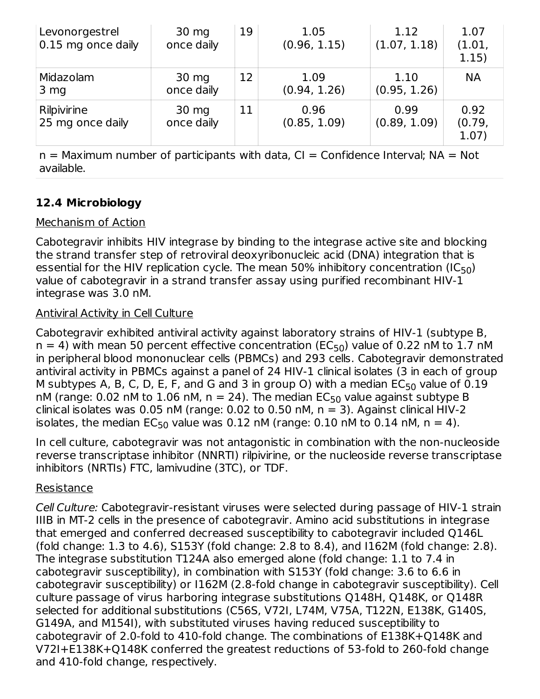| Levonorgestrel<br>0.15 mg once daily | 30 mg<br>once daily      | 19 | 1.05<br>(0.96, 1.15) | 1.12<br>(1.07, 1.18) | 1.07<br>(1.01,<br>1.15) |
|--------------------------------------|--------------------------|----|----------------------|----------------------|-------------------------|
| Midazolam<br>3 <sub>mg</sub>         | $30 \, mg$<br>once daily | 12 | 1.09<br>(0.94, 1.26) | 1.10<br>(0.95, 1.26) | <b>NA</b>               |
| Rilpivirine<br>25 mg once daily      | 30 mg<br>once daily      | 11 | 0.96<br>(0.85, 1.09) | 0.99<br>(0.89, 1.09) | 0.92<br>(0.79,<br>1.07) |

 $n =$  Maximum number of participants with data,  $CI =$  Confidence Interval;  $NA = Not$ available.

## **12.4 Microbiology**

## Mechanism of Action

Cabotegravir inhibits HIV integrase by binding to the integrase active site and blocking the strand transfer step of retroviral deoxyribonucleic acid (DNA) integration that is essential for the HIV replication cycle. The mean 50% inhibitory concentration (IC $_{\rm 50}$ ) value of cabotegravir in a strand transfer assay using purified recombinant HIV-1 integrase was 3.0 nM.

## Antiviral Activity in Cell Culture

Cabotegravir exhibited antiviral activity against laboratory strains of HIV-1 (subtype B,  $n = 4$ ) with mean 50 percent effective concentration (EC<sub>50</sub>) value of 0.22 nM to 1.7 nM in peripheral blood mononuclear cells (PBMCs) and 293 cells. Cabotegravir demonstrated antiviral activity in PBMCs against a panel of 24 HIV-1 clinical isolates (3 in each of group M subtypes A, B, C, D, E, F, and G and 3 in group O) with a median  $\mathsf{EC}_{50}$  value of 0.19 nM (range: 0.02 nM to  $1.06$  nM, n = 24). The median EC $_{50}$  value against subtype B clinical isolates was 0.05 nM (range: 0.02 to 0.50 nM,  $n = 3$ ). Against clinical HIV-2 isolates, the median  $EC_{50}$  value was 0.12 nM (range: 0.10 nM to 0.14 nM, n = 4).

In cell culture, cabotegravir was not antagonistic in combination with the non-nucleoside reverse transcriptase inhibitor (NNRTI) rilpivirine, or the nucleoside reverse transcriptase inhibitors (NRTIs) FTC, lamivudine (3TC), or TDF.

## Resistance

Cell Culture: Cabotegravir-resistant viruses were selected during passage of HIV-1 strain IIIB in MT-2 cells in the presence of cabotegravir. Amino acid substitutions in integrase that emerged and conferred decreased susceptibility to cabotegravir included Q146L (fold change: 1.3 to 4.6), S153Y (fold change: 2.8 to 8.4), and I162M (fold change: 2.8). The integrase substitution T124A also emerged alone (fold change: 1.1 to 7.4 in cabotegravir susceptibility), in combination with S153Y (fold change: 3.6 to 6.6 in cabotegravir susceptibility) or I162M (2.8-fold change in cabotegravir susceptibility). Cell culture passage of virus harboring integrase substitutions Q148H, Q148K, or Q148R selected for additional substitutions (C56S, V72I, L74M, V75A, T122N, E138K, G140S, G149A, and M154I), with substituted viruses having reduced susceptibility to cabotegravir of 2.0-fold to 410-fold change. The combinations of E138K+Q148K and V72I+E138K+Q148K conferred the greatest reductions of 53-fold to 260‑fold change and 410-fold change, respectively.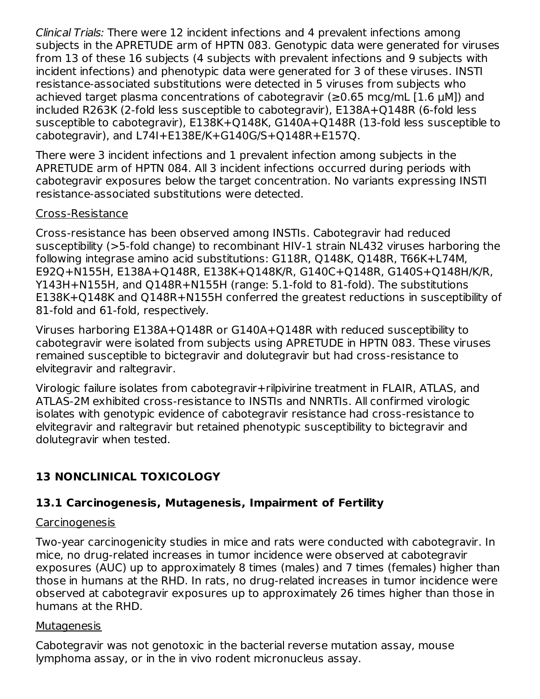Clinical Trials: There were 12 incident infections and 4 prevalent infections among subjects in the APRETUDE arm of HPTN 083. Genotypic data were generated for viruses from 13 of these 16 subjects (4 subjects with prevalent infections and 9 subjects with incident infections) and phenotypic data were generated for 3 of these viruses. INSTI resistance-associated substitutions were detected in 5 viruses from subjects who achieved target plasma concentrations of cabotegravir (≥0.65 mcg/mL [1.6 μM]) and included R263K (2-fold less susceptible to cabotegravir), E138A+Q148R (6-fold less susceptible to cabotegravir), E138K+Q148K, G140A+Q148R (13-fold less susceptible to cabotegravir), and L74I+E138E/K+G140G/S+Q148R+E157Q.

There were 3 incident infections and 1 prevalent infection among subjects in the APRETUDE arm of HPTN 084. All 3 incident infections occurred during periods with cabotegravir exposures below the target concentration. No variants expressing INSTI resistance-associated substitutions were detected.

#### Cross-Resistance

Cross-resistance has been observed among INSTIs. Cabotegravir had reduced susceptibility (>5-fold change) to recombinant HIV-1 strain NL432 viruses harboring the following integrase amino acid substitutions: G118R, Q148K, Q148R, T66K+L74M, E92Q+N155H, E138A+Q148R, E138K+Q148K/R, G140C+Q148R, G140S+Q148H/K/R, Y143H+N155H, and Q148R+N155H (range: 5.1-fold to 81-fold). The substitutions E138K+Q148K and Q148R+N155H conferred the greatest reductions in susceptibility of 81-fold and 61-fold, respectively.

Viruses harboring E138A+Q148R or G140A+Q148R with reduced susceptibility to cabotegravir were isolated from subjects using APRETUDE in HPTN 083. These viruses remained susceptible to bictegravir and dolutegravir but had cross-resistance to elvitegravir and raltegravir.

Virologic failure isolates from cabotegravir+rilpivirine treatment in FLAIR, ATLAS, and ATLAS-2M exhibited cross-resistance to INSTIs and NNRTIs. All confirmed virologic isolates with genotypic evidence of cabotegravir resistance had cross-resistance to elvitegravir and raltegravir but retained phenotypic susceptibility to bictegravir and dolutegravir when tested.

## **13 NONCLINICAL TOXICOLOGY**

## **13.1 Carcinogenesis, Mutagenesis, Impairment of Fertility**

### Carcinogenesis

Two-year carcinogenicity studies in mice and rats were conducted with cabotegravir. In mice, no drug-related increases in tumor incidence were observed at cabotegravir exposures (AUC) up to approximately 8 times (males) and 7 times (females) higher than those in humans at the RHD. In rats, no drug-related increases in tumor incidence were observed at cabotegravir exposures up to approximately 26 times higher than those in humans at the RHD.

### Mutagenesis

Cabotegravir was not genotoxic in the bacterial reverse mutation assay, mouse lymphoma assay, or in the in vivo rodent micronucleus assay.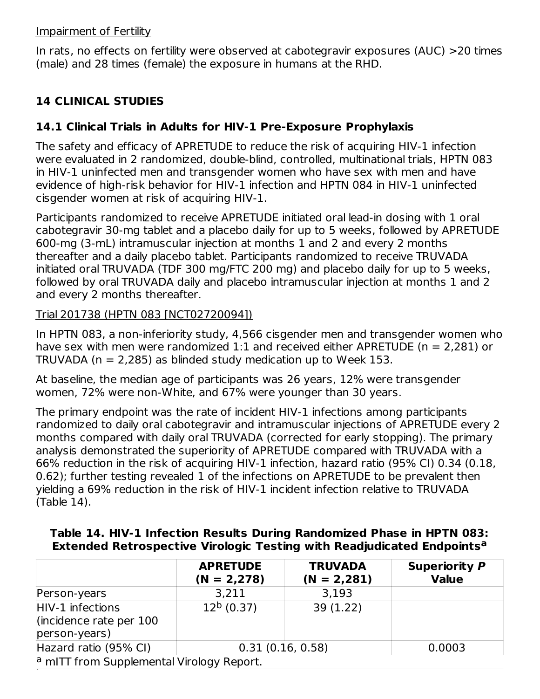#### Impairment of Fertility

In rats, no effects on fertility were observed at cabotegravir exposures (AUC) >20 times (male) and 28 times (female) the exposure in humans at the RHD.

## **14 CLINICAL STUDIES**

## **14.1 Clinical Trials in Adults for HIV-1 Pre-Exposure Prophylaxis**

The safety and efficacy of APRETUDE to reduce the risk of acquiring HIV-1 infection were evaluated in 2 randomized, double-blind, controlled, multinational trials, HPTN 083 in HIV‑1 uninfected men and transgender women who have sex with men and have evidence of high-risk behavior for HIV-1 infection and HPTN 084 in HIV-1 uninfected cisgender women at risk of acquiring HIV-1.

Participants randomized to receive APRETUDE initiated oral lead-in dosing with 1 oral cabotegravir 30-mg tablet and a placebo daily for up to 5 weeks, followed by APRETUDE 600‑mg (3-mL) intramuscular injection at months 1 and 2 and every 2 months thereafter and a daily placebo tablet. Participants randomized to receive TRUVADA initiated oral TRUVADA (TDF 300 mg/FTC 200 mg) and placebo daily for up to 5 weeks, followed by oral TRUVADA daily and placebo intramuscular injection at months 1 and 2 and every 2 months thereafter.

### Trial 201738 (HPTN 083 [NCT02720094])

In HPTN 083, a non-inferiority study, 4,566 cisgender men and transgender women who have sex with men were randomized 1:1 and received either APRETUDE ( $n = 2,281$ ) or TRUVADA ( $n = 2,285$ ) as blinded study medication up to Week 153.

At baseline, the median age of participants was 26 years, 12% were transgender women, 72% were non-White, and 67% were younger than 30 years.

The primary endpoint was the rate of incident HIV-1 infections among participants randomized to daily oral cabotegravir and intramuscular injections of APRETUDE every 2 months compared with daily oral TRUVADA (corrected for early stopping). The primary analysis demonstrated the superiority of APRETUDE compared with TRUVADA with a 66% reduction in the risk of acquiring HIV-1 infection, hazard ratio (95% CI) 0.34 (0.18, 0.62); further testing revealed 1 of the infections on APRETUDE to be prevalent then yielding a 69% reduction in the risk of HIV-1 incident infection relative to TRUVADA (Table 14).

|                                                                                          | <b>ADDETILE</b> | <b>TRIBIARA</b> | <b>Construction of the Construction</b> |  |  |  |  |  |
|------------------------------------------------------------------------------------------|-----------------|-----------------|-----------------------------------------|--|--|--|--|--|
| <b>Extended Retrospective Virologic Testing with Readjudicated Endpoints<sup>a</sup></b> |                 |                 |                                         |  |  |  |  |  |
| <u>Table 14. Filly-1 Intection Results During Randomized Phase in Firm 1985.</u>         |                 |                 |                                         |  |  |  |  |  |

**Table 14. HIV-1 Infection Results During Randomized Phase in HPTN 083:**

|                                                                | <b>APRETUDE</b><br>$(N = 2,278)$ | <b>TRUVADA</b><br>$(N = 2,281)$ | <b>Superiority P</b><br><b>Value</b> |  |  |  |
|----------------------------------------------------------------|----------------------------------|---------------------------------|--------------------------------------|--|--|--|
| Person-years                                                   | 3,211                            | 3,193                           |                                      |  |  |  |
| HIV-1 infections<br>lincidence rate per $100$<br>person-years) | $12b$ (0.37)                     | 39 (1.22)                       |                                      |  |  |  |
| Hazard ratio (95% CI)                                          | 0.31(0.16, 0.58)                 | 0.0003                          |                                      |  |  |  |
| <sup>a</sup> mITT from Supplemental Virology Report.           |                                  |                                 |                                      |  |  |  |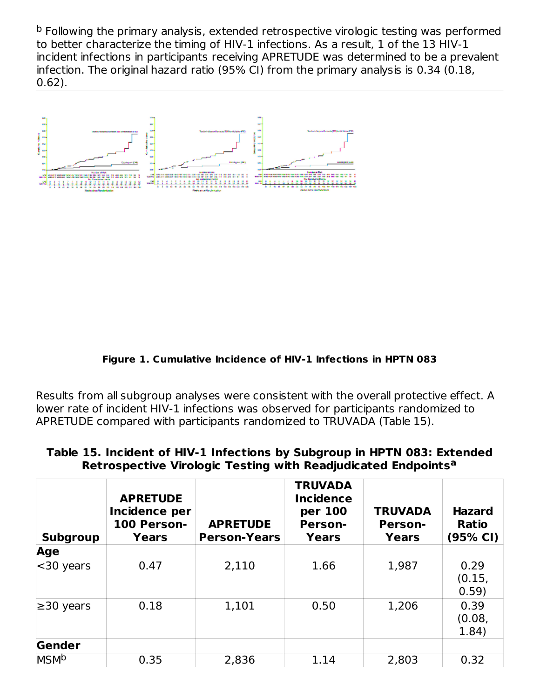<sup>b</sup> Following the primary analysis, extended retrospective virologic testing was performed to better characterize the timing of HIV-1 infections. As a result, 1 of the 13 HIV-1 incident infections in participants receiving APRETUDE was determined to be a prevalent infection. The original hazard ratio (95% CI) from the primary analysis is 0.34 (0.18, 0.62).

#### **Figure 1. Cumulative Incidence of HIV-1 Infections in HPTN 083**

Results from all subgroup analyses were consistent with the overall protective effect. A lower rate of incident HIV‑1 infections was observed for participants randomized to APRETUDE compared with participants randomized to TRUVADA (Table 15).

#### **Table 15. Incident of HIV-1 Infections by Subgroup in HPTN 083: Extended Retrospective Virologic Testing with Readjudicated Endpoints a**

| <b>Subgroup</b> | <b>APRETUDE</b><br>Incidence per<br>100 Person-<br>Years | <b>APRETUDE</b><br><b>Person-Years</b> | <b>TRUVADA</b><br><b>Incidence</b><br>per 100<br><b>Person-</b><br>Years | <b>TRUVADA</b><br><b>Person-</b><br><b>Years</b> | <b>Hazard</b><br><b>Ratio</b><br>(95% CI) |
|-----------------|----------------------------------------------------------|----------------------------------------|--------------------------------------------------------------------------|--------------------------------------------------|-------------------------------------------|
| Age             |                                                          |                                        |                                                                          |                                                  |                                           |
| $30$ years      | 0.47                                                     | 2,110                                  | 1.66                                                                     | 1,987                                            | 0.29<br>(0.15,<br>0.59)                   |
| $\geq$ 30 years | 0.18                                                     | 1,101                                  | 0.50                                                                     | 1,206                                            | 0.39<br>(0.08,<br>1.84)                   |
| Gender          |                                                          |                                        |                                                                          |                                                  |                                           |
| <b>MSMb</b>     | 0.35                                                     | 2,836                                  | 1.14                                                                     | 2,803                                            | 0.32                                      |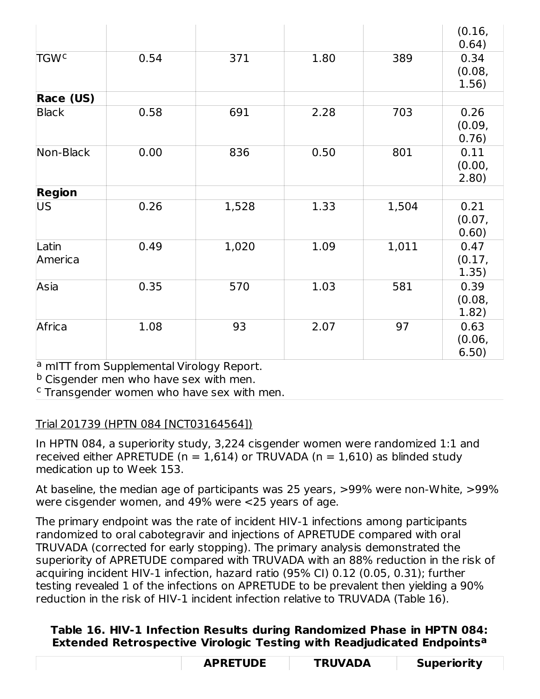|                        |      |       |      |       | (0.16,<br>0.64)         |
|------------------------|------|-------|------|-------|-------------------------|
| <b>TGW<sup>c</sup></b> | 0.54 | 371   | 1.80 | 389   | 0.34<br>(0.08,<br>1.56) |
| Race (US)              |      |       |      |       |                         |
| <b>Black</b>           | 0.58 | 691   | 2.28 | 703   | 0.26<br>(0.09,<br>0.76) |
| Non-Black              | 0.00 | 836   | 0.50 | 801   | 0.11<br>(0.00,<br>2.80) |
| <b>Region</b>          |      |       |      |       |                         |
| US                     | 0.26 | 1,528 | 1.33 | 1,504 | 0.21<br>(0.07,<br>0.60) |
| Latin<br>America       | 0.49 | 1,020 | 1.09 | 1,011 | 0.47<br>(0.17,<br>1.35) |
| Asia                   | 0.35 | 570   | 1.03 | 581   | 0.39<br>(0.08,<br>1.82) |
| Africa                 | 1.08 | 93    | 2.07 | 97    | 0.63<br>(0.06,<br>6.50) |

<sup>a</sup> mITT from Supplemental Virology Report.

<sup>b</sup> Cisgender men who have sex with men.

 $c$  Transgender women who have sex with men.

## Trial 201739 (HPTN 084 [NCT03164564])

In HPTN 084, a superiority study, 3,224 cisgender women were randomized 1:1 and received either APRETUDE ( $n = 1.614$ ) or TRUVADA ( $n = 1.610$ ) as blinded study medication up to Week 153.

At baseline, the median age of participants was 25 years, >99% were non-White, >99% were cisgender women, and 49% were <25 years of age.

The primary endpoint was the rate of incident HIV-1 infections among participants randomized to oral cabotegravir and injections of APRETUDE compared with oral TRUVADA (corrected for early stopping). The primary analysis demonstrated the superiority of APRETUDE compared with TRUVADA with an 88% reduction in the risk of acquiring incident HIV-1 infection, hazard ratio (95% CI) 0.12 (0.05, 0.31); further testing revealed 1 of the infections on APRETUDE to be prevalent then yielding a 90% reduction in the risk of HIV-1 incident infection relative to TRUVADA (Table 16).

### **Table 16. HIV-1 Infection Results during Randomized Phase in HPTN 084: Extended Retrospective Virologic Testing with Readjudicated Endpoints a**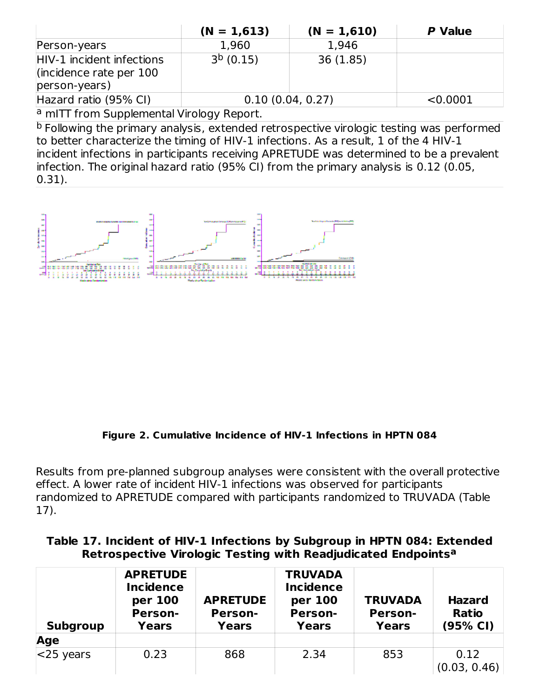|                                                                         | $(N = 1,613)$    | $(N = 1,610)$ | P Value |  |  |  |
|-------------------------------------------------------------------------|------------------|---------------|---------|--|--|--|
| Person-years                                                            | 1,960            | 1.946         |         |  |  |  |
| HIV-1 incident infections<br>(incidence rate per $100$<br>person-years) | $3b$ (0.15)      | 36(1.85)      |         |  |  |  |
| Hazard ratio (95% CI)                                                   | 0.10(0.04, 0.27) | < 0.0001      |         |  |  |  |
| <sup>a</sup> mITT from Supplemental Virology Report.                    |                  |               |         |  |  |  |

<sup>b</sup> Following the primary analysis, extended retrospective virologic testing was performed to better characterize the timing of HIV-1 infections. As a result, 1 of the 4 HIV-1

incident infections in participants receiving APRETUDE was determined to be a prevalent infection. The original hazard ratio (95% CI) from the primary analysis is 0.12 (0.05, 0.31).

#### **Figure 2. Cumulative Incidence of HIV-1 Infections in HPTN 084**

Results from pre-planned subgroup analyses were consistent with the overall protective effect. A lower rate of incident HIV-1 infections was observed for participants randomized to APRETUDE compared with participants randomized to TRUVADA (Table 17).

#### **Table 17. Incident of HIV-1 Infections by Subgroup in HPTN 084: Extended Retrospective Virologic Testing with Readjudicated Endpoints a**

| <b>Subgroup</b> | <b>APRETUDE</b><br><b>Incidence</b><br>per 100<br><b>Person-</b><br><b>Years</b> | <b>APRETUDE</b><br><b>Person-</b><br>Years | <b>TRUVADA</b><br><b>Incidence</b><br>per 100<br><b>Person-</b><br>Years | <b>TRUVADA</b><br><b>Person-</b><br><b>Years</b> | <b>Hazard</b><br><b>Ratio</b><br>(95% CI) |
|-----------------|----------------------------------------------------------------------------------|--------------------------------------------|--------------------------------------------------------------------------|--------------------------------------------------|-------------------------------------------|
| Age             |                                                                                  |                                            |                                                                          |                                                  |                                           |
| $<$ 25 years    | 0.23                                                                             | 868                                        | 2.34                                                                     | 853                                              | 0.12<br>(0.03, 0.46)                      |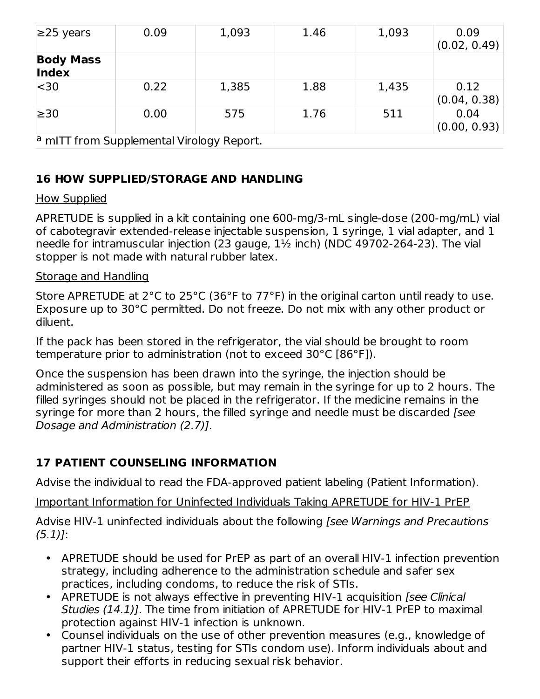| $\geq$ 25 years                           | 0.09 | 1,093 | 1.46 | 1,093 | 0.09<br>(0.02, 0.49) |
|-------------------------------------------|------|-------|------|-------|----------------------|
| <b>Body Mass</b><br>Index                 |      |       |      |       |                      |
| $ $ < 30                                  | 0.22 | 1,385 | 1.88 | 1,435 | 0.12<br>(0.04, 0.38) |
| $\geq 30$                                 | 0.00 | 575   | 1.76 | 511   | 0.04<br>(0.00, 0.93) |
| a mITT from Supplemental Virology Report. |      |       |      |       |                      |

## **16 HOW SUPPLIED/STORAGE AND HANDLING**

### How Supplied

APRETUDE is supplied in a kit containing one 600-mg/3-mL single-dose (200-mg/mL) vial of cabotegravir extended-release injectable suspension, 1 syringe, 1 vial adapter, and 1 needle for intramuscular injection (23 gauge, 1½ inch) (NDC 49702-264-23). The vial stopper is not made with natural rubber latex.

### Storage and Handling

Store APRETUDE at 2°C to 25°C (36°F to 77°F) in the original carton until ready to use. Exposure up to 30°C permitted. Do not freeze. Do not mix with any other product or diluent.

If the pack has been stored in the refrigerator, the vial should be brought to room temperature prior to administration (not to exceed 30°C [86°F]).

Once the suspension has been drawn into the syringe, the injection should be administered as soon as possible, but may remain in the syringe for up to 2 hours. The filled syringes should not be placed in the refrigerator. If the medicine remains in the syringe for more than 2 hours, the filled syringe and needle must be discarded *[see*] Dosage and Administration (2.7)].

## **17 PATIENT COUNSELING INFORMATION**

Advise the individual to read the FDA-approved patient labeling (Patient Information).

Important Information for Uninfected Individuals Taking APRETUDE for HIV-1 PrEP

Advise HIV-1 uninfected individuals about the following *[see Warnings and Precautions*  $(5.1)!$ 

- APRETUDE should be used for PrEP as part of an overall HIV-1 infection prevention strategy, including adherence to the administration schedule and safer sex practices, including condoms, to reduce the risk of STIs.
- APRETUDE is not always effective in preventing HIV-1 acquisition [see Clinical Studies (14.1)]. The time from initiation of APRETUDE for HIV-1 PrEP to maximal protection against HIV-1 infection is unknown.
- Counsel individuals on the use of other prevention measures (e.g., knowledge of partner HIV-1 status, testing for STIs condom use). Inform individuals about and support their efforts in reducing sexual risk behavior.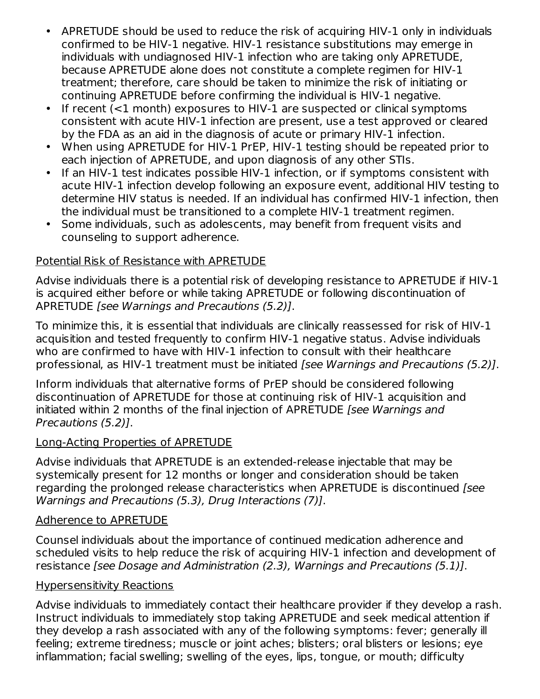- APRETUDE should be used to reduce the risk of acquiring HIV-1 only in individuals confirmed to be HIV-1 negative. HIV-1 resistance substitutions may emerge in individuals with undiagnosed HIV-1 infection who are taking only APRETUDE, because APRETUDE alone does not constitute a complete regimen for HIV-1 treatment; therefore, care should be taken to minimize the risk of initiating or continuing APRETUDE before confirming the individual is HIV-1 negative.
- $\bullet$ If recent (<1 month) exposures to HIV-1 are suspected or clinical symptoms consistent with acute HIV-1 infection are present, use a test approved or cleared by the FDA as an aid in the diagnosis of acute or primary HIV-1 infection.
- When using APRETUDE for HIV-1 PrEP, HIV-1 testing should be repeated prior to each injection of APRETUDE, and upon diagnosis of any other STIs.
- If an HIV-1 test indicates possible HIV-1 infection, or if symptoms consistent with acute HIV-1 infection develop following an exposure event, additional HIV testing to determine HIV status is needed. If an individual has confirmed HIV-1 infection, then the individual must be transitioned to a complete HIV-1 treatment regimen.
- Some individuals, such as adolescents, may benefit from frequent visits and counseling to support adherence.

## Potential Risk of Resistance with APRETUDE

Advise individuals there is a potential risk of developing resistance to APRETUDE if HIV-1 is acquired either before or while taking APRETUDE or following discontinuation of APRETUDE [see Warnings and Precautions (5.2)].

To minimize this, it is essential that individuals are clinically reassessed for risk of HIV-1 acquisition and tested frequently to confirm HIV-1 negative status. Advise individuals who are confirmed to have with HIV-1 infection to consult with their healthcare professional, as HIV-1 treatment must be initiated [see Warnings and Precautions (5.2)].

Inform individuals that alternative forms of PrEP should be considered following discontinuation of APRETUDE for those at continuing risk of HIV-1 acquisition and initiated within 2 months of the final injection of APRETUDE [see Warnings and Precautions (5.2)].

### Long-Acting Properties of APRETUDE

Advise individuals that APRETUDE is an extended-release injectable that may be systemically present for 12 months or longer and consideration should be taken regarding the prolonged release characteristics when APRETUDE is discontinued [see Warnings and Precautions (5.3), Drug Interactions (7)].

### Adherence to APRETUDE

Counsel individuals about the importance of continued medication adherence and scheduled visits to help reduce the risk of acquiring HIV-1 infection and development of resistance [see Dosage and Administration (2.3), Warnings and Precautions (5.1)].

### Hypersensitivity Reactions

Advise individuals to immediately contact their healthcare provider if they develop a rash. Instruct individuals to immediately stop taking APRETUDE and seek medical attention if they develop a rash associated with any of the following symptoms: fever; generally ill feeling; extreme tiredness; muscle or joint aches; blisters; oral blisters or lesions; eye inflammation; facial swelling; swelling of the eyes, lips, tongue, or mouth; difficulty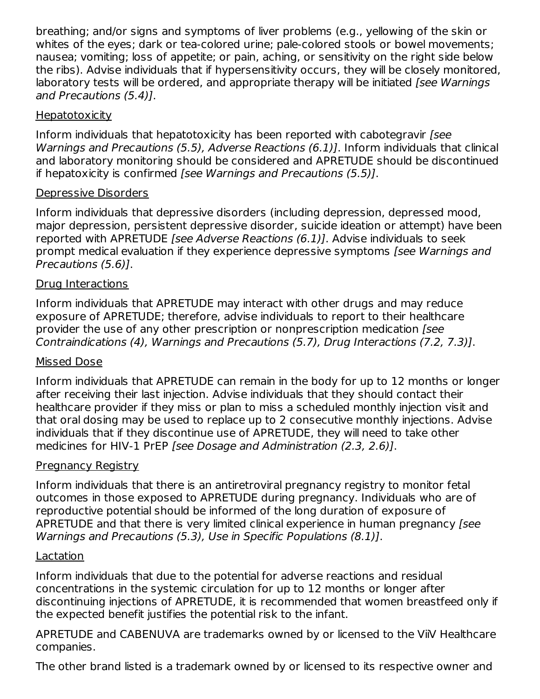breathing; and/or signs and symptoms of liver problems (e.g., yellowing of the skin or whites of the eyes; dark or tea-colored urine; pale-colored stools or bowel movements; nausea; vomiting; loss of appetite; or pain, aching, or sensitivity on the right side below the ribs). Advise individuals that if hypersensitivity occurs, they will be closely monitored, laboratory tests will be ordered, and appropriate therapy will be initiated [see Warnings] and Precautions (5.4)].

## **Hepatotoxicity**

Inform individuals that hepatotoxicity has been reported with cabotegravir [see Warnings and Precautions (5.5), Adverse Reactions (6.1)]. Inform individuals that clinical and laboratory monitoring should be considered and APRETUDE should be discontinued if hepatoxicity is confirmed [see Warnings and Precautions (5.5)].

## Depressive Disorders

Inform individuals that depressive disorders (including depression, depressed mood, major depression, persistent depressive disorder, suicide ideation or attempt) have been reported with APRETUDE [see Adverse Reactions (6.1)]. Advise individuals to seek prompt medical evaluation if they experience depressive symptoms [see Warnings and Precautions (5.6)].

### Drug Interactions

Inform individuals that APRETUDE may interact with other drugs and may reduce exposure of APRETUDE; therefore, advise individuals to report to their healthcare provider the use of any other prescription or nonprescription medication [see Contraindications (4), Warnings and Precautions (5.7), Drug Interactions (7.2, 7.3)].

### Missed Dose

Inform individuals that APRETUDE can remain in the body for up to 12 months or longer after receiving their last injection. Advise individuals that they should contact their healthcare provider if they miss or plan to miss a scheduled monthly injection visit and that oral dosing may be used to replace up to 2 consecutive monthly injections. Advise individuals that if they discontinue use of APRETUDE, they will need to take other medicines for HIV-1 PrEP [see Dosage and Administration (2.3, 2.6)].

### **Pregnancy Registry**

Inform individuals that there is an antiretroviral pregnancy registry to monitor fetal outcomes in those exposed to APRETUDE during pregnancy. Individuals who are of reproductive potential should be informed of the long duration of exposure of APRETUDE and that there is very limited clinical experience in human pregnancy [see Warnings and Precautions (5.3), Use in Specific Populations (8.1)].

### Lactation

Inform individuals that due to the potential for adverse reactions and residual concentrations in the systemic circulation for up to 12 months or longer after discontinuing injections of APRETUDE, it is recommended that women breastfeed only if the expected benefit justifies the potential risk to the infant.

APRETUDE and CABENUVA are trademarks owned by or licensed to the ViiV Healthcare companies.

The other brand listed is a trademark owned by or licensed to its respective owner and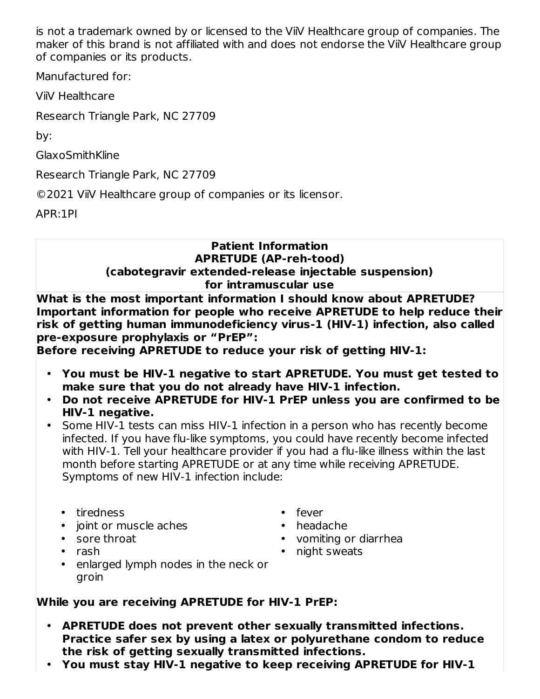is not a trademark owned by or licensed to the ViiV Healthcare group of companies. The maker of this brand is not affiliated with and does not endorse the ViiV Healthcare group of companies or its products.

Manufactured for:

ViiV Healthcare

Research Triangle Park, NC 27709

by:

GlaxoSmithKline

Research Triangle Park, NC 27709

©2021 ViiV Healthcare group of companies or its licensor.

APR:1PI

### **Patient Information APRETUDE (AP-reh-tood) (cabotegravir extended-release injectable suspension) for intramuscular use**

**What is the most important information I should know about APRETUDE? Important information for people who receive APRETUDE to help reduce their risk of getting human immunodeficiency virus-1 (HIV-1) infection, also called pre-exposure prophylaxis or "PrEP":**

**Before receiving APRETUDE to reduce your risk of getting HIV-1:**

- **You must be HIV-1 negative to start APRETUDE. You must get tested to make sure that you do not already have HIV-1 infection.**
- **Do not receive APRETUDE for HIV-1 PrEP unless you are confirmed to be HIV-1 negative.**
- Some HIV-1 tests can miss HIV-1 infection in a person who has recently become infected. If you have flu-like symptoms, you could have recently become infected with HIV-1. Tell your healthcare provider if you had a flu-like illness within the last month before starting APRETUDE or at any time while receiving APRETUDE. Symptoms of new HIV-1 infection include:

## • tiredness

- joint or muscle aches
- sore throat
- rash
- fever
- headache
- vomiting or diarrhea
- night sweats
- enlarged lymph nodes in the neck or groin

## **While you are receiving APRETUDE for HIV-1 PrEP:**

- **APRETUDE does not prevent other sexually transmitted infections. Practice safer sex by using a latex or polyurethane condom to reduce the risk of getting sexually transmitted infections.**
- **You must stay HIV-1 negative to keep receiving APRETUDE for HIV-1**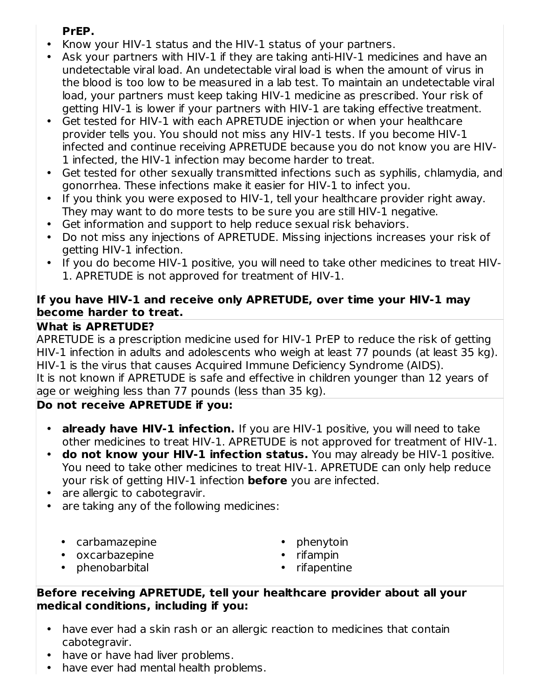## **PrEP.**

- Know your HIV-1 status and the HIV-1 status of your partners.
- Ask your partners with HIV-1 if they are taking anti-HIV-1 medicines and have an undetectable viral load. An undetectable viral load is when the amount of virus in the blood is too low to be measured in a lab test. To maintain an undetectable viral load, your partners must keep taking HIV-1 medicine as prescribed. Your risk of getting HIV-1 is lower if your partners with HIV-1 are taking effective treatment.
- Get tested for HIV-1 with each APRETUDE injection or when your healthcare provider tells you. You should not miss any HIV-1 tests. If you become HIV-1 infected and continue receiving APRETUDE because you do not know you are HIV-1 infected, the HIV-1 infection may become harder to treat.
- Get tested for other sexually transmitted infections such as syphilis, chlamydia, and gonorrhea. These infections make it easier for HIV-1 to infect you.
- If you think you were exposed to HIV-1, tell your healthcare provider right away. They may want to do more tests to be sure you are still HIV-1 negative.
- Get information and support to help reduce sexual risk behaviors.
- Do not miss any injections of APRETUDE. Missing injections increases your risk of getting HIV-1 infection.
- If you do become HIV-1 positive, you will need to take other medicines to treat HIV-1. APRETUDE is not approved for treatment of HIV-1.

## **If you have HIV-1 and receive only APRETUDE, over time your HIV-1 may become harder to treat.**

## **What is APRETUDE?**

APRETUDE is a prescription medicine used for HIV-1 PrEP to reduce the risk of getting HIV-1 infection in adults and adolescents who weigh at least 77 pounds (at least 35 kg). HIV-1 is the virus that causes Acquired Immune Deficiency Syndrome (AIDS). It is not known if APRETUDE is safe and effective in children younger than 12 years of age or weighing less than 77 pounds (less than 35 kg).

## **Do not receive APRETUDE if you:**

- **already have HIV-1 infection.** If you are HIV-1 positive, you will need to take other medicines to treat HIV-1. APRETUDE is not approved for treatment of HIV-1.
- **do not know your HIV-1 infection status.** You may already be HIV-1 positive. You need to take other medicines to treat HIV-1. APRETUDE can only help reduce your risk of getting HIV-1 infection **before** you are infected.
- are allergic to cabotegravir.
- are taking any of the following medicines:
	- carbamazepine
	- oxcarbazepine
	- phenobarbital
- phenytoin
- rifampin
- rifapentine

### **Before receiving APRETUDE, tell your healthcare provider about all your medical conditions, including if you:**

- have ever had a skin rash or an allergic reaction to medicines that contain cabotegravir.
- have or have had liver problems.
- have ever had mental health problems.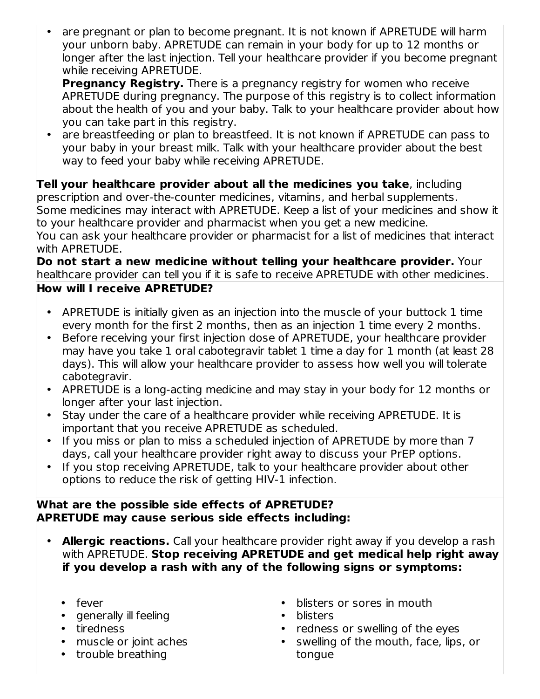• are pregnant or plan to become pregnant. It is not known if APRETUDE will harm your unborn baby. APRETUDE can remain in your body for up to 12 months or longer after the last injection. Tell your healthcare provider if you become pregnant while receiving APRETUDE.

**Pregnancy Registry.** There is a pregnancy registry for women who receive APRETUDE during pregnancy. The purpose of this registry is to collect information about the health of you and your baby. Talk to your healthcare provider about how you can take part in this registry.

• are breastfeeding or plan to breastfeed. It is not known if APRETUDE can pass to your baby in your breast milk. Talk with your healthcare provider about the best way to feed your baby while receiving APRETUDE.

**Tell your healthcare provider about all the medicines you take**, including prescription and over-the-counter medicines, vitamins, and herbal supplements. Some medicines may interact with APRETUDE. Keep a list of your medicines and show it to your healthcare provider and pharmacist when you get a new medicine. You can ask your healthcare provider or pharmacist for a list of medicines that interact with APRETUDE.

**Do not start a new medicine without telling your healthcare provider.** Your healthcare provider can tell you if it is safe to receive APRETUDE with other medicines.

## **How will I receive APRETUDE?**

- APRETUDE is initially given as an injection into the muscle of your buttock 1 time every month for the first 2 months, then as an injection 1 time every 2 months.
- Before receiving your first injection dose of APRETUDE, your healthcare provider may have you take 1 oral cabotegravir tablet 1 time a day for 1 month (at least 28 days). This will allow your healthcare provider to assess how well you will tolerate cabotegravir.
- APRETUDE is a long-acting medicine and may stay in your body for 12 months or longer after your last injection.
- Stay under the care of a healthcare provider while receiving APRETUDE. It is important that you receive APRETUDE as scheduled.
- If you miss or plan to miss a scheduled injection of APRETUDE by more than 7 days, call your healthcare provider right away to discuss your PrEP options.
- If you stop receiving APRETUDE, talk to your healthcare provider about other options to reduce the risk of getting HIV-1 infection.

### **What are the possible side effects of APRETUDE? APRETUDE may cause serious side effects including:**

- **Allergic reactions.** Call your healthcare provider right away if you develop a rash with APRETUDE. **Stop receiving APRETUDE and get medical help right away if you develop a rash with any of the following signs or symptoms:**
	- fever
	- generally ill feeling
	- tiredness
	- muscle or joint aches
	- trouble breathing
- blisters or sores in mouth
- blisters
- redness or swelling of the eyes
- swelling of the mouth, face, lips, or tongue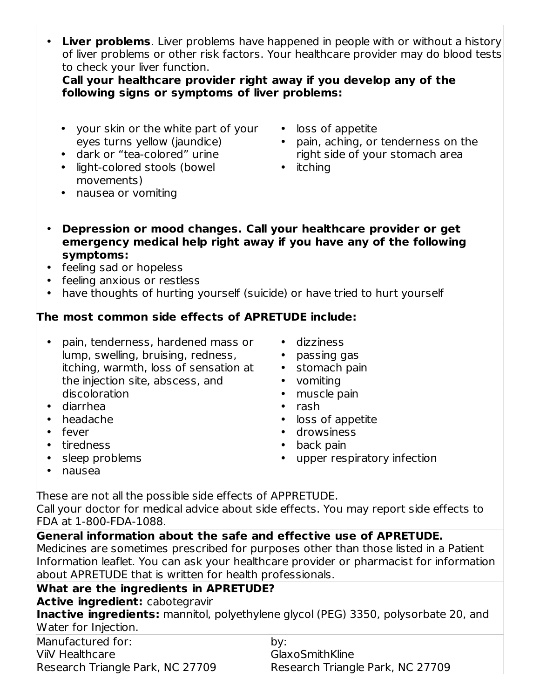• **Liver problems**. Liver problems have happened in people with or without a history of liver problems or other risk factors. Your healthcare provider may do blood tests to check your liver function.

**Call your healthcare provider right away if you develop any of the following signs or symptoms of liver problems:**

- your skin or the white part of your loss of appetite eyes turns yellow (jaundice)
- dark or "tea-colored" urine
- light-colored stools (bowel movements)
- nausea or vomiting
- 
- pain, aching, or tenderness on the right side of your stomach area
- itching
- **Depression or mood changes. Call your healthcare provider or get emergency medical help right away if you have any of the following symptoms:**
- feeling sad or hopeless
- feeling anxious or restless
- have thoughts of hurting yourself (suicide) or have tried to hurt yourself

## **The most common side effects of APRETUDE include:**

- pain, tenderness, hardened mass or lump, swelling, bruising, redness, itching, warmth, loss of sensation at the injection site, abscess, and discoloration
- diarrhea
- headache
- fever
- tiredness
- sleep problems
- dizziness • passing gas
- stomach pain
- vomiting
- muscle pain
- rash
- loss of appetite
- drowsiness
- back pain
- upper respiratory infection

• nausea

These are not all the possible side effects of APPRETUDE.

Call your doctor for medical advice about side effects. You may report side effects to FDA at 1‑800‑FDA‑1088.

## **General information about the safe and effective use of APRETUDE.**

Medicines are sometimes prescribed for purposes other than those listed in a Patient Information leaflet. You can ask your healthcare provider or pharmacist for information about APRETUDE that is written for health professionals.

## **What are the ingredients in APRETUDE?**

**Active ingredient:** cabotegravir

**Inactive ingredients:** mannitol, polyethylene glycol (PEG) 3350, polysorbate 20, and Water for Injection.

Manufactured for: ViiV Healthcare Research Triangle Park, NC 27709

by: GlaxoSmithKline Research Triangle Park, NC 27709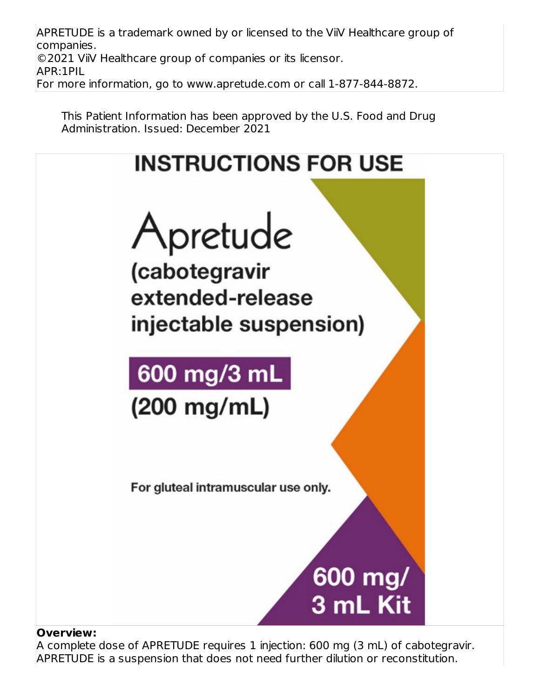APRETUDE is a trademark owned by or licensed to the ViiV Healthcare group of companies. ©2021 ViiV Healthcare group of companies or its licensor. APR:1PIL For more information, go to www.apretude.com or call 1-877-844-8872.

This Patient Information has been approved by the U.S. Food and Drug Administration. Issued: December 2021



#### **Overview:**

A complete dose of APRETUDE requires 1 injection: 600 mg (3 mL) of cabotegravir. APRETUDE is a suspension that does not need further dilution or reconstitution.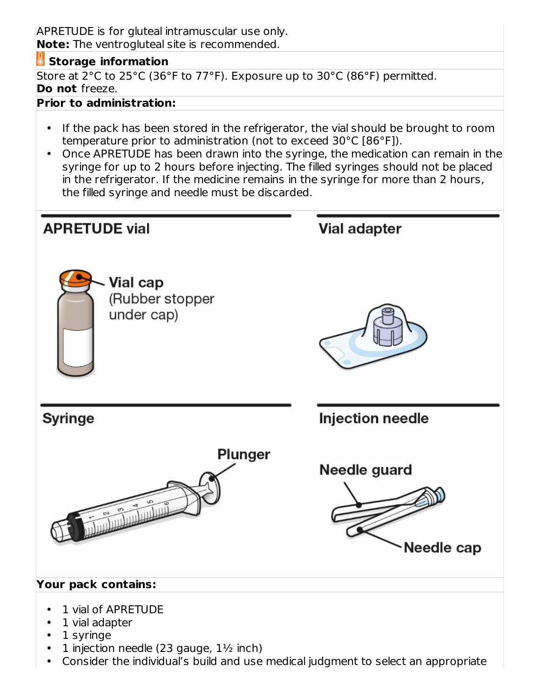APRETUDE is for gluteal intramuscular use only. **Note:** The ventrogluteal site is recommended.

#### **Storage information**

Store at 2°C to 25°C (36°F to 77°F). Exposure up to 30°C (86°F) permitted. **Do not** freeze.

#### **Prior to administration:**

- If the pack has been stored in the refrigerator, the vial should be brought to room temperature prior to administration (not to exceed 30°C [86°F]).
- Once APRETUDE has been drawn into the syringe, the medication can remain in the syringe for up to 2 hours before injecting. The filled syringes should not be placed in the refrigerator. If the medicine remains in the syringe for more than 2 hours, the filled syringe and needle must be discarded.

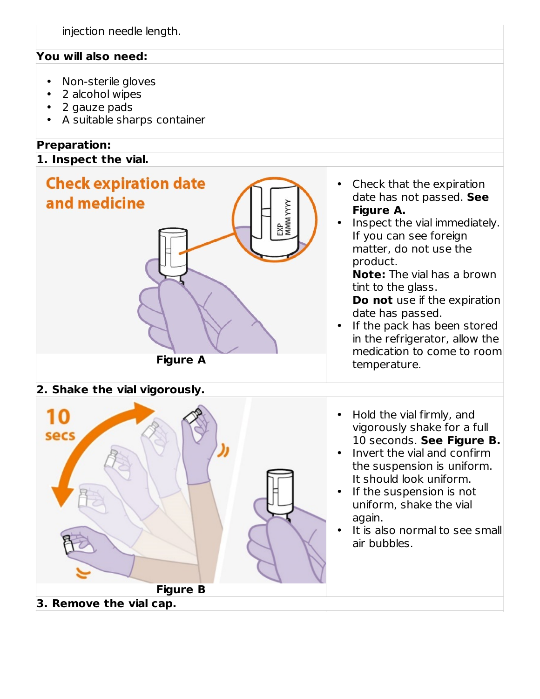### **You will also need:**

- Non-sterile gloves
- 2 alcohol wipes
- 2 gauze pads
- A suitable sharps container

## **Preparation:**

#### **1. Inspect the vial.**

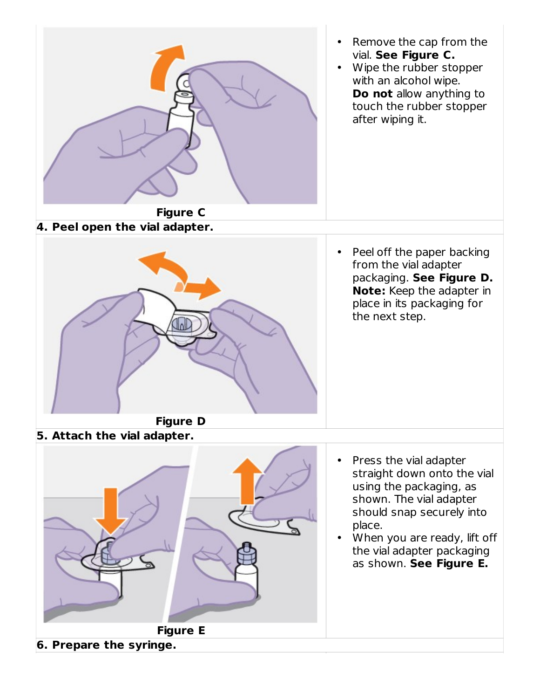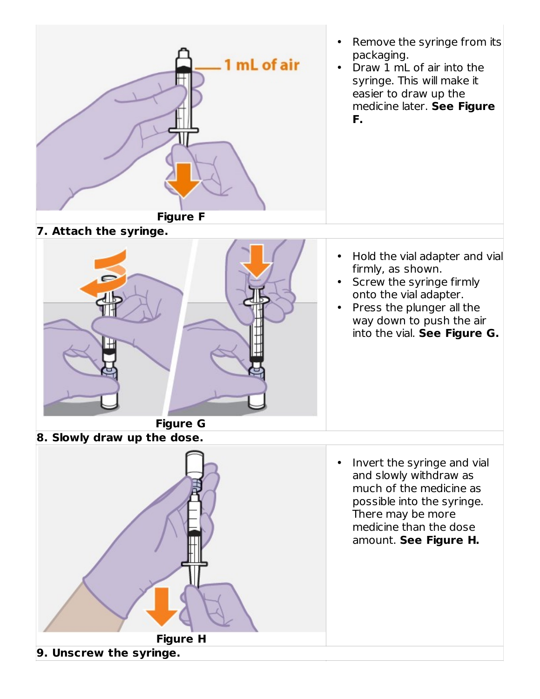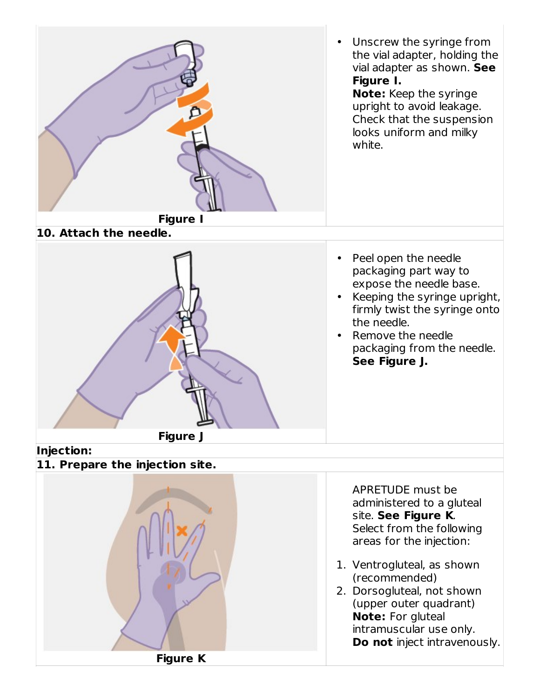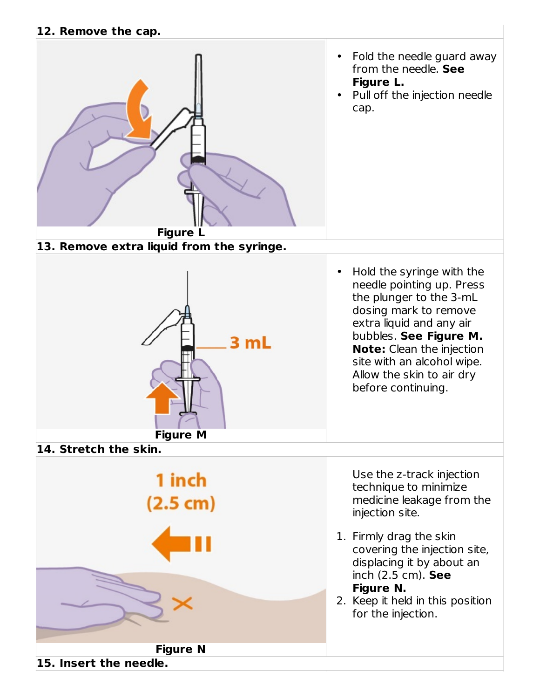#### **12. Remove the cap.**

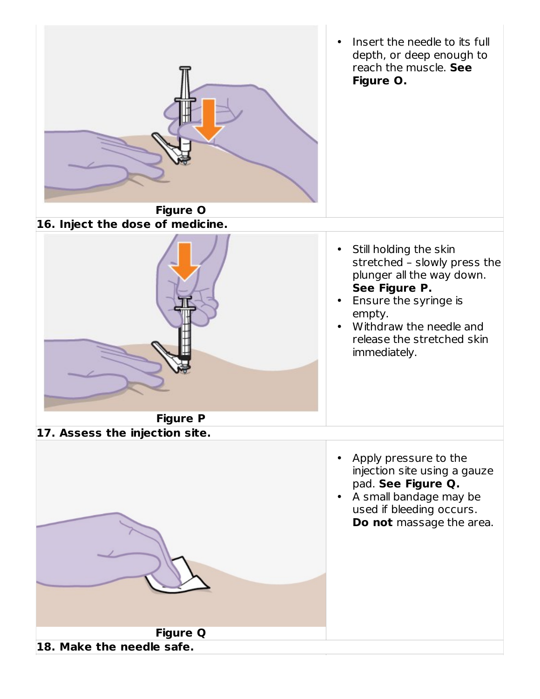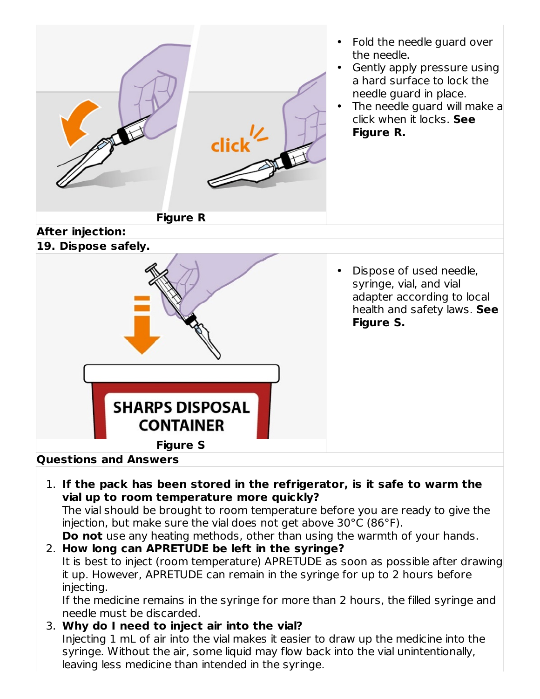

it up. However, APRETUDE can remain in the syringe for up to 2 hours before injecting.

If the medicine remains in the syringe for more than 2 hours, the filled syringe and needle must be discarded.

3. **Why do I need to inject air into the vial?** Injecting 1 mL of air into the vial makes it easier to draw up the medicine into the syringe. Without the air, some liquid may flow back into the vial unintentionally, leaving less medicine than intended in the syringe.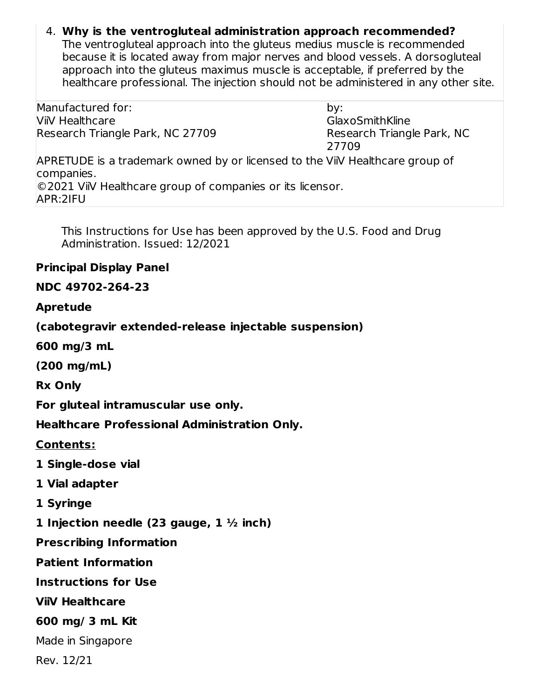## 4. **Why is the ventrogluteal administration approach recommended?**

The ventrogluteal approach into the gluteus medius muscle is recommended because it is located away from major nerves and blood vessels. A dorsogluteal approach into the gluteus maximus muscle is acceptable, if preferred by the healthcare professional. The injection should not be administered in any other site.

Manufactured for: ViiV Healthcare Research Triangle Park, NC 27709

by: GlaxoSmithKline Research Triangle Park, NC 27709

APRETUDE is a trademark owned by or licensed to the ViiV Healthcare group of companies. ©2021 ViiV Healthcare group of companies or its licensor. APR:2IFU

This Instructions for Use has been approved by the U.S. Food and Drug Administration. Issued: 12/2021

#### **Principal Display Panel**

### **NDC 49702-264-23**

#### **Apretude**

**(cabotegravir extended-release injectable suspension)**

**600 mg/3 mL**

**(200 mg/mL)**

**Rx Only**

**For gluteal intramuscular use only.**

**Healthcare Professional Administration Only.**

**Contents:**

**1 Single-dose vial**

**1 Vial adapter**

**1 Syringe**

**1 Injection needle (23 gauge, 1 ½ inch)**

**Prescribing Information**

**Patient Information**

**Instructions for Use**

**ViiV Healthcare**

#### **600 mg/ 3 mL Kit**

Made in Singapore

Rev. 12/21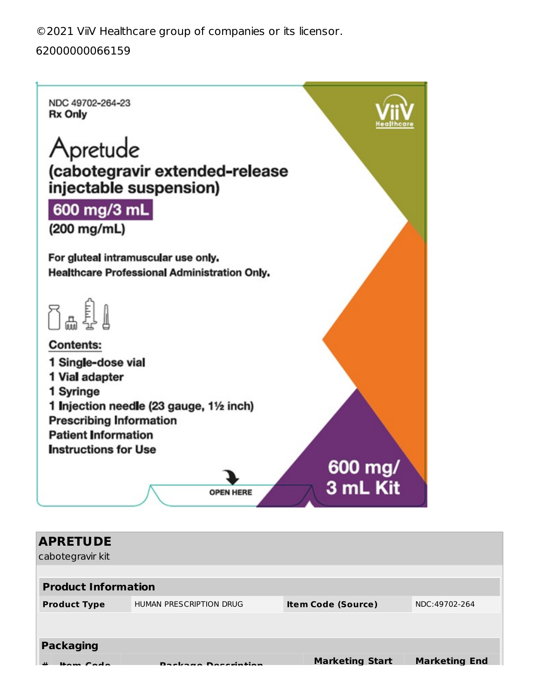©2021 ViiV Healthcare group of companies or its licensor.

### 62000000066159

NDC 49702-264-23 **Rx Only** 

# Apretude (cabotegravir extended-release injectable suspension)

# 600 mg/3 mL

(200 mg/mL)

For gluteal intramuscular use only. Healthcare Professional Administration Only.

0a £1

**Contents:** 1 Single-dose vial 1 Vial adapter 1 Syringe 1 Injection needle (23 gauge, 11/2 inch) **Prescribing Information Patient Information Instructions for Use** 



| <b>APRETUDE</b><br>cabotegravir kit |                                                                                                                                                                                                                                |                           |                      |
|-------------------------------------|--------------------------------------------------------------------------------------------------------------------------------------------------------------------------------------------------------------------------------|---------------------------|----------------------|
| <b>Product Information</b>          | HUMAN PRESCRIPTION DRUG                                                                                                                                                                                                        |                           | NDC:49702-264        |
| <b>Product Type</b>                 |                                                                                                                                                                                                                                | <b>Item Code (Source)</b> |                      |
| <b>Packaging</b>                    |                                                                                                                                                                                                                                |                           |                      |
|                                     | and the contract of the contract of the contract of the contract of the contract of the contract of the contract of the contract of the contract of the contract of the contract of the contract of the contract of the contra | <b>Marketing Start</b>    | <b>Marketing End</b> |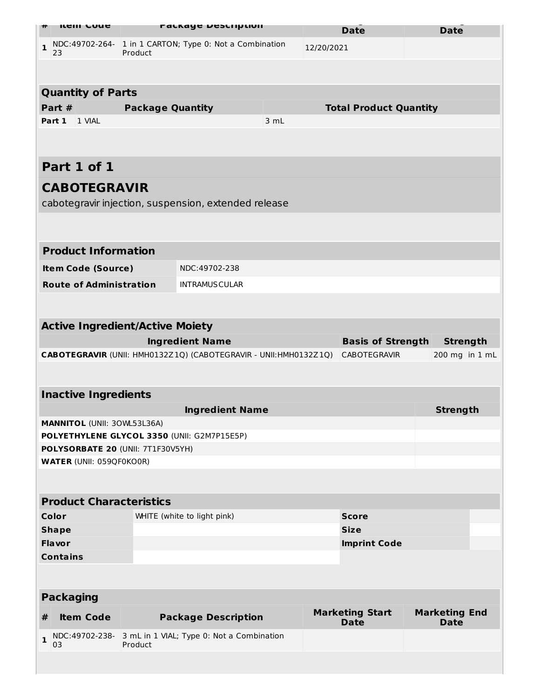| <b>ILEIII COUL</b>                                                            | <b>PACKAYE DESCRIPLION</b>                             |                                                                   |            | <b>Date</b> |                                       | <b>Date</b>                         |
|-------------------------------------------------------------------------------|--------------------------------------------------------|-------------------------------------------------------------------|------------|-------------|---------------------------------------|-------------------------------------|
| NDC:49702-264- 1 in 1 CARTON; Type 0: Not a Combination<br>$\mathbf{1}$<br>23 | Product                                                |                                                                   | 12/20/2021 |             |                                       |                                     |
|                                                                               |                                                        |                                                                   |            |             |                                       |                                     |
| <b>Quantity of Parts</b>                                                      |                                                        |                                                                   |            |             |                                       |                                     |
| Part #                                                                        | <b>Package Quantity</b>                                |                                                                   |            |             | <b>Total Product Quantity</b>         |                                     |
| Part 1<br>1 VIAL                                                              |                                                        |                                                                   | 3 mL       |             |                                       |                                     |
|                                                                               |                                                        |                                                                   |            |             |                                       |                                     |
| Part 1 of 1                                                                   |                                                        |                                                                   |            |             |                                       |                                     |
| <b>CABOTEGRAVIR</b>                                                           |                                                        |                                                                   |            |             |                                       |                                     |
|                                                                               |                                                        | cabotegravir injection, suspension, extended release              |            |             |                                       |                                     |
|                                                                               |                                                        |                                                                   |            |             |                                       |                                     |
|                                                                               |                                                        |                                                                   |            |             |                                       |                                     |
| <b>Product Information</b>                                                    |                                                        |                                                                   |            |             |                                       |                                     |
|                                                                               | NDC:49702-238<br><b>Item Code (Source)</b>             |                                                                   |            |             |                                       |                                     |
|                                                                               | <b>Route of Administration</b><br><b>INTRAMUSCULAR</b> |                                                                   |            |             |                                       |                                     |
|                                                                               |                                                        |                                                                   |            |             |                                       |                                     |
| <b>Active Ingredient/Active Moiety</b>                                        |                                                        |                                                                   |            |             |                                       |                                     |
|                                                                               |                                                        | <b>Ingredient Name</b>                                            |            |             | <b>Basis of Strength</b>              | <b>Strength</b>                     |
|                                                                               |                                                        | CABOTEGRAVIR (UNII: HMH0132Z1Q) (CABOTEGRAVIR - UNII: HMH0132Z1Q) |            |             | <b>CABOTEGRAVIR</b>                   | 200 mg in 1 mL                      |
|                                                                               |                                                        |                                                                   |            |             |                                       |                                     |
| <b>Inactive Ingredients</b>                                                   |                                                        |                                                                   |            |             |                                       |                                     |
|                                                                               |                                                        | <b>Ingredient Name</b>                                            |            |             |                                       | <b>Strength</b>                     |
| <b>MANNITOL (UNII: 30WL53L36A)</b>                                            |                                                        |                                                                   |            |             |                                       |                                     |
| POLYETHYLENE GLYCOL 3350 (UNII: G2M7P15E5P)                                   |                                                        |                                                                   |            |             |                                       |                                     |
| POLYSORBATE 20 (UNII: 7T1F30V5YH)                                             |                                                        |                                                                   |            |             |                                       |                                     |
| <b>WATER (UNII: 059QF0KO0R)</b>                                               |                                                        |                                                                   |            |             |                                       |                                     |
|                                                                               |                                                        |                                                                   |            |             |                                       |                                     |
| <b>Product Characteristics</b>                                                |                                                        |                                                                   |            |             |                                       |                                     |
| Color                                                                         |                                                        | WHITE (white to light pink)                                       |            |             | <b>Score</b>                          |                                     |
| <b>Shape</b>                                                                  |                                                        |                                                                   |            |             | <b>Size</b>                           |                                     |
| <b>Flavor</b>                                                                 |                                                        |                                                                   |            |             | <b>Imprint Code</b>                   |                                     |
| <b>Contains</b>                                                               |                                                        |                                                                   |            |             |                                       |                                     |
|                                                                               |                                                        |                                                                   |            |             |                                       |                                     |
| <b>Packaging</b>                                                              |                                                        |                                                                   |            |             |                                       |                                     |
| <b>Item Code</b><br>#                                                         |                                                        | <b>Package Description</b>                                        |            |             | <b>Marketing Start</b><br><b>Date</b> | <b>Marketing End</b><br><b>Date</b> |
| 1<br>03                                                                       | Product                                                | NDC:49702-238- 3 mL in 1 VIAL; Type 0: Not a Combination          |            |             |                                       |                                     |
|                                                                               |                                                        |                                                                   |            |             |                                       |                                     |